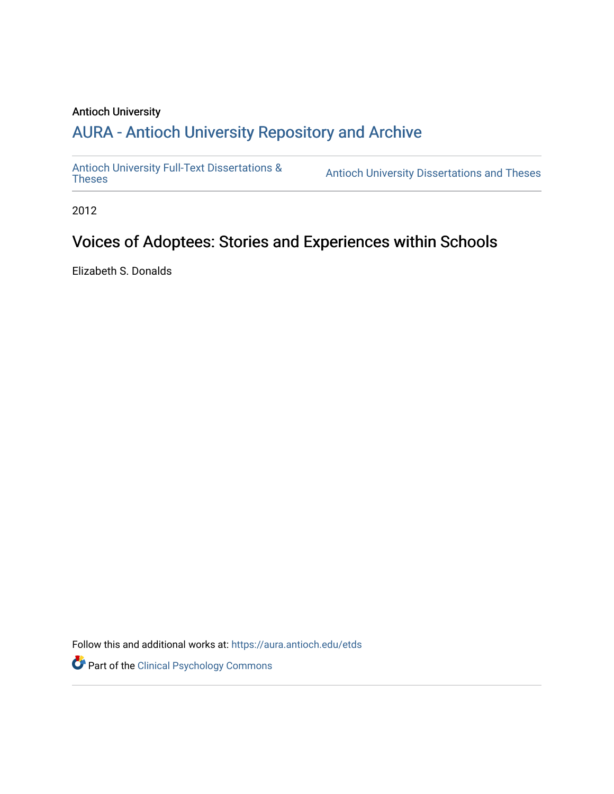### Antioch University

# A[URA - Antioch University Reposit](https://aura.antioch.edu/)ory and Archive

[Antioch University Full-Text Dissertations &](https://aura.antioch.edu/etds) Antioch University Dissertations and Theses

2012

# Voices of Adoptees: Stories and Experiences within Schools

Elizabeth S. Donalds

Follow this and additional works at: [https://aura.antioch.edu/etds](https://aura.antioch.edu/etds?utm_source=aura.antioch.edu%2Fetds%2F847&utm_medium=PDF&utm_campaign=PDFCoverPages)

Part of the [Clinical Psychology Commons](https://network.bepress.com/hgg/discipline/406?utm_source=aura.antioch.edu%2Fetds%2F847&utm_medium=PDF&utm_campaign=PDFCoverPages)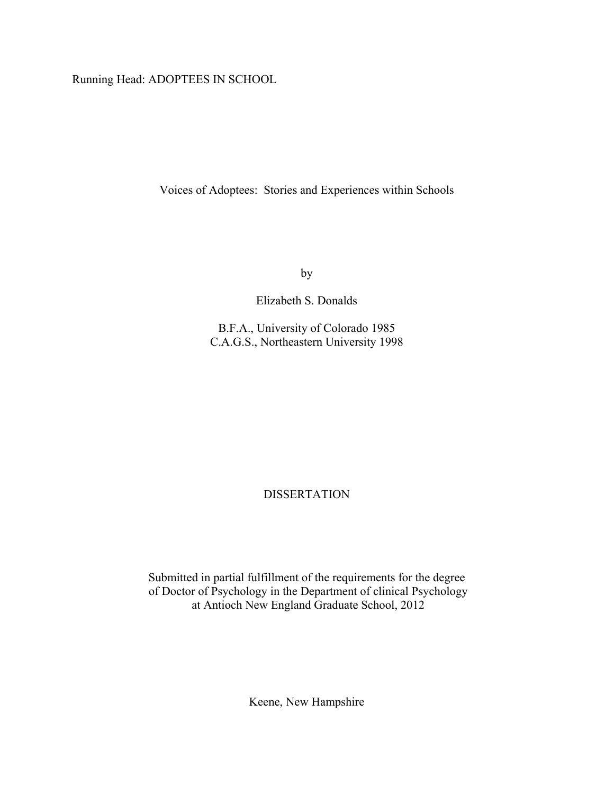Running Head: ADOPTEES IN SCHOOL

Voices of Adoptees: Stories and Experiences within Schools

by

Elizabeth S. Donalds

B.F.A., University of Colorado 1985 C.A.G.S., Northeastern University 1998

DISSERTATION

Submitted in partial fulfillment of the requirements for the degree of Doctor of Psychology in the Department of clinical Psychology at Antioch New England Graduate School, 2012

Keene, New Hampshire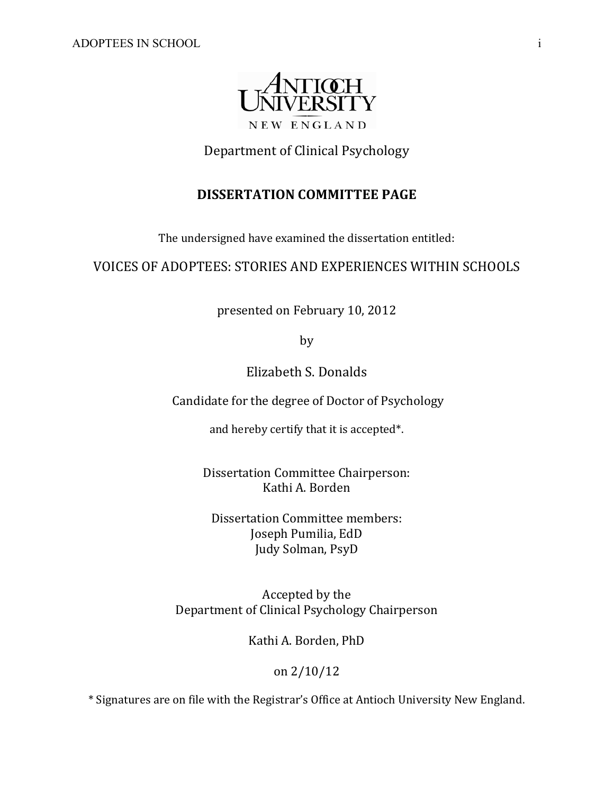

# Department of Clinical Psychology

# **DISSERTATION COMMITTEE PAGE**

The undersigned have examined the dissertation entitled:

# VOICES OF ADOPTEES: STORIES AND EXPERIENCES WITHIN SCHOOLS

presented on February 10, 2012

by 

Elizabeth S. Donalds 

Candidate for the degree of Doctor of Psychology

and hereby certify that it is accepted\*.

Dissertation Committee Chairperson: Kathi A. Borden

Dissertation Committee members: Joseph Pumilia, EdD Judy Solman, PsyD

Accepted by the Department of Clinical Psychology Chairperson

Kathi A. Borden, PhD

on 2/10/12 

\* Signatures are on file with the Registrar's Office at Antioch University New England.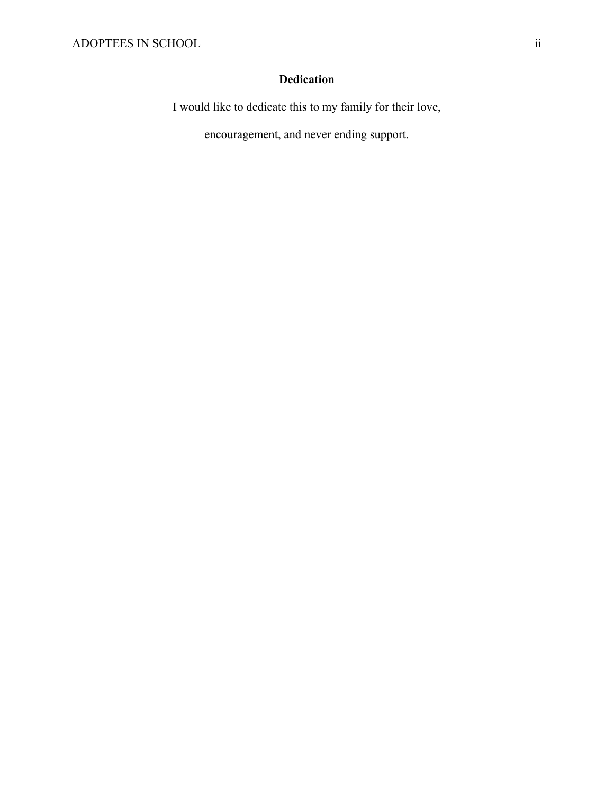# **Dedication**

I would like to dedicate this to my family for their love,

encouragement, and never ending support.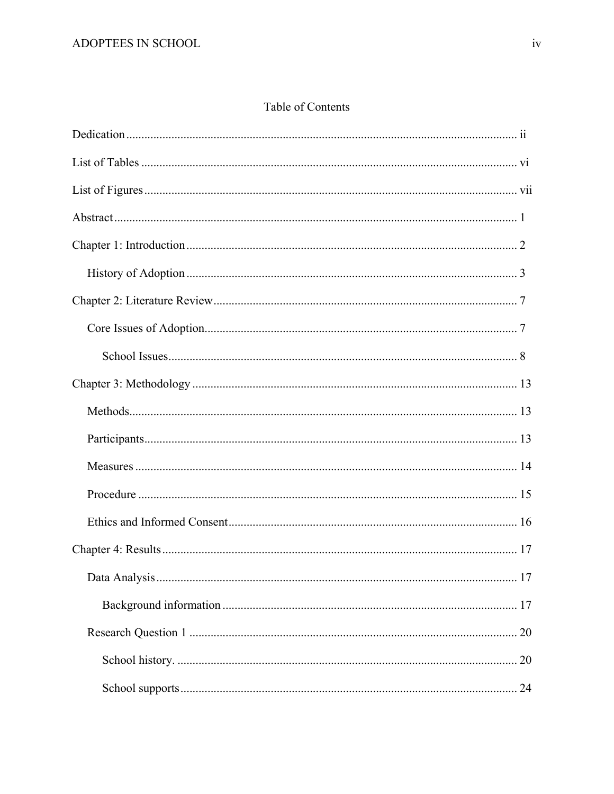# Table of Contents

| 17 |
|----|
|    |
| 20 |
|    |
| 24 |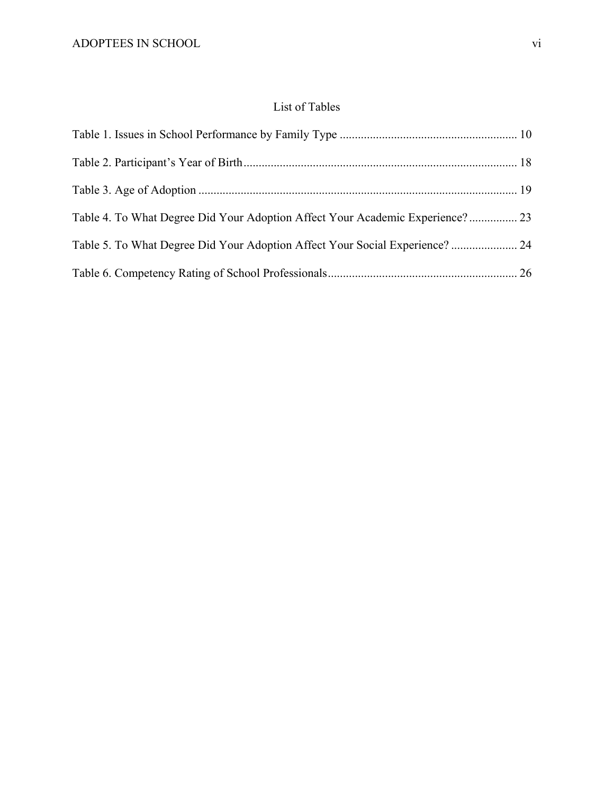# List of Tables

| Table 4. To What Degree Did Your Adoption Affect Your Academic Experience? 23 |  |
|-------------------------------------------------------------------------------|--|
| Table 5. To What Degree Did Your Adoption Affect Your Social Experience?  24  |  |
|                                                                               |  |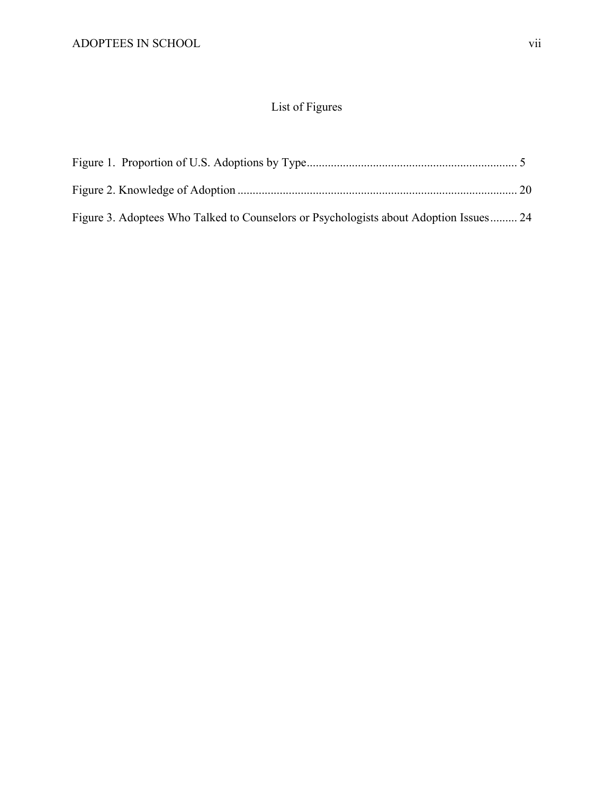# List of Figures

| Figure 3. Adoptees Who Talked to Counselors or Psychologists about Adoption Issues 24 |  |
|---------------------------------------------------------------------------------------|--|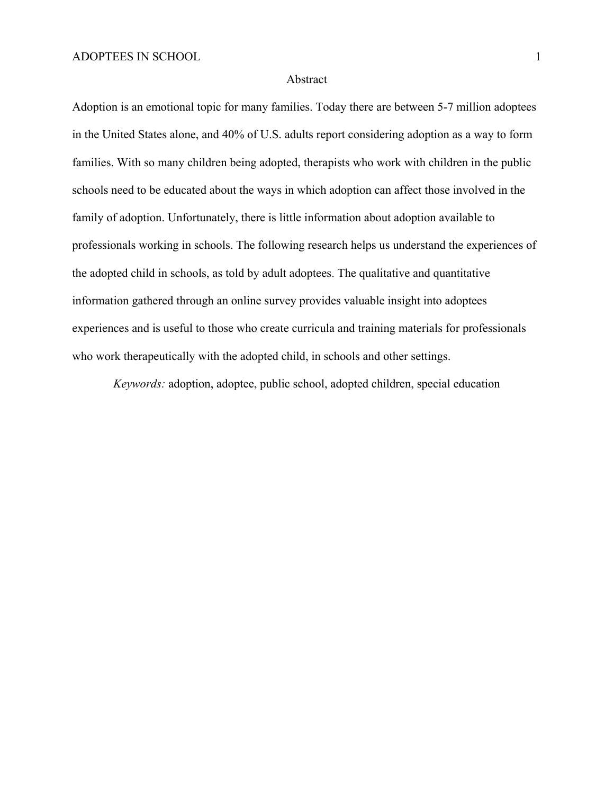#### Abstract

Adoption is an emotional topic for many families. Today there are between 5-7 million adoptees in the United States alone, and 40% of U.S. adults report considering adoption as a way to form families. With so many children being adopted, therapists who work with children in the public schools need to be educated about the ways in which adoption can affect those involved in the family of adoption. Unfortunately, there is little information about adoption available to professionals working in schools. The following research helps us understand the experiences of the adopted child in schools, as told by adult adoptees. The qualitative and quantitative information gathered through an online survey provides valuable insight into adoptees experiences and is useful to those who create curricula and training materials for professionals who work therapeutically with the adopted child, in schools and other settings.

*Keywords:* adoption, adoptee, public school, adopted children, special education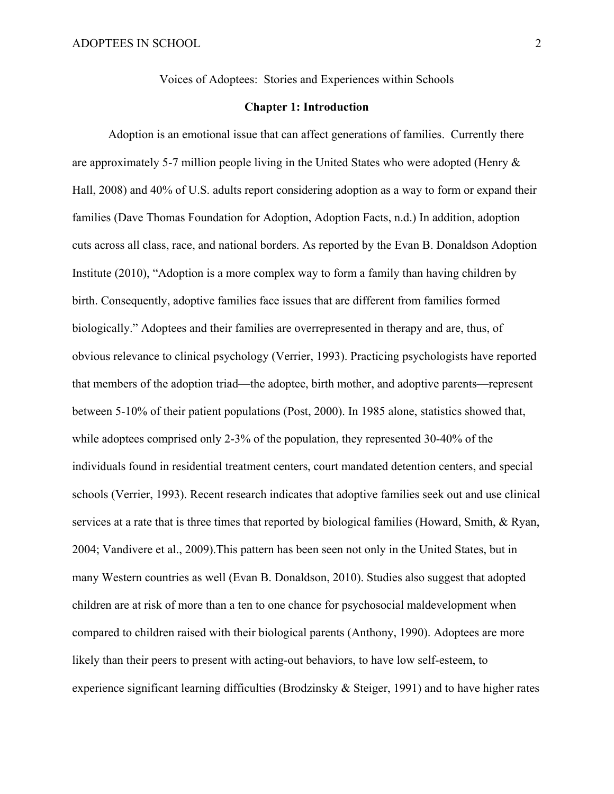Voices of Adoptees: Stories and Experiences within Schools

### **Chapter 1: Introduction**

Adoption is an emotional issue that can affect generations of families. Currently there are approximately 5-7 million people living in the United States who were adopted (Henry  $\&$ Hall, 2008) and 40% of U.S. adults report considering adoption as a way to form or expand their families (Dave Thomas Foundation for Adoption, Adoption Facts, n.d.) In addition, adoption cuts across all class, race, and national borders. As reported by the Evan B. Donaldson Adoption Institute (2010), "Adoption is a more complex way to form a family than having children by birth. Consequently, adoptive families face issues that are different from families formed biologically." Adoptees and their families are overrepresented in therapy and are, thus, of obvious relevance to clinical psychology (Verrier, 1993). Practicing psychologists have reported that members of the adoption triad—the adoptee, birth mother, and adoptive parents—represent between 5-10% of their patient populations (Post, 2000). In 1985 alone, statistics showed that, while adoptees comprised only 2-3% of the population, they represented 30-40% of the individuals found in residential treatment centers, court mandated detention centers, and special schools (Verrier, 1993). Recent research indicates that adoptive families seek out and use clinical services at a rate that is three times that reported by biological families (Howard, Smith, & Ryan, 2004; Vandivere et al., 2009).This pattern has been seen not only in the United States, but in many Western countries as well (Evan B. Donaldson, 2010). Studies also suggest that adopted children are at risk of more than a ten to one chance for psychosocial maldevelopment when compared to children raised with their biological parents (Anthony, 1990). Adoptees are more likely than their peers to present with acting-out behaviors, to have low self-esteem, to experience significant learning difficulties (Brodzinsky & Steiger, 1991) and to have higher rates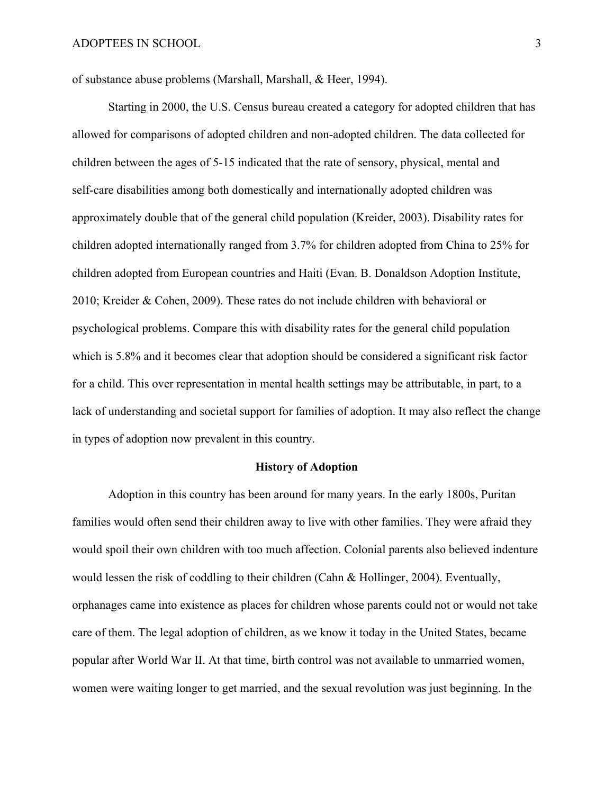of substance abuse problems (Marshall, Marshall, & Heer, 1994).

Starting in 2000, the U.S. Census bureau created a category for adopted children that has allowed for comparisons of adopted children and non-adopted children. The data collected for children between the ages of 5-15 indicated that the rate of sensory, physical, mental and self-care disabilities among both domestically and internationally adopted children was approximately double that of the general child population (Kreider, 2003). Disability rates for children adopted internationally ranged from 3.7% for children adopted from China to 25% for children adopted from European countries and Haiti (Evan. B. Donaldson Adoption Institute, 2010; Kreider & Cohen, 2009). These rates do not include children with behavioral or psychological problems. Compare this with disability rates for the general child population which is 5.8% and it becomes clear that adoption should be considered a significant risk factor for a child. This over representation in mental health settings may be attributable, in part, to a lack of understanding and societal support for families of adoption. It may also reflect the change in types of adoption now prevalent in this country.

#### **History of Adoption**

Adoption in this country has been around for many years. In the early 1800s, Puritan families would often send their children away to live with other families. They were afraid they would spoil their own children with too much affection. Colonial parents also believed indenture would lessen the risk of coddling to their children (Cahn & Hollinger, 2004). Eventually, orphanages came into existence as places for children whose parents could not or would not take care of them. The legal adoption of children, as we know it today in the United States, became popular after World War II. At that time, birth control was not available to unmarried women, women were waiting longer to get married, and the sexual revolution was just beginning. In the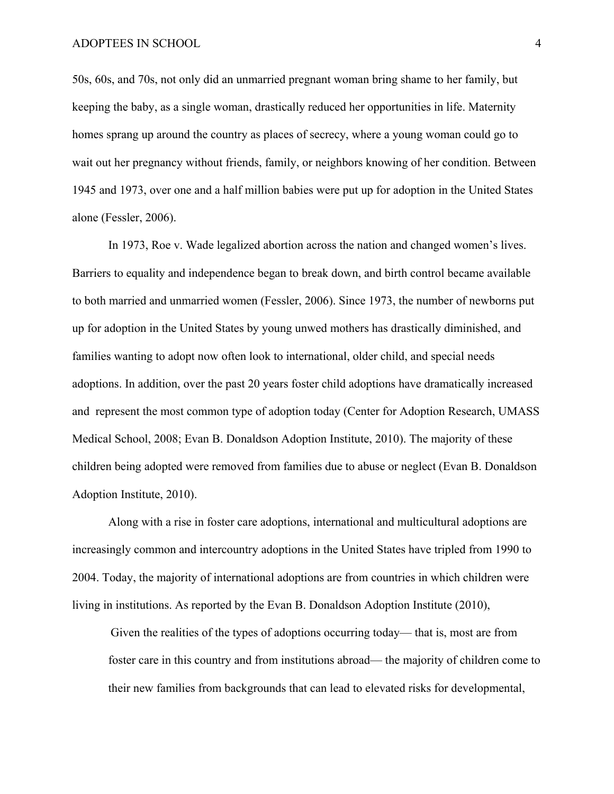50s, 60s, and 70s, not only did an unmarried pregnant woman bring shame to her family, but keeping the baby, as a single woman, drastically reduced her opportunities in life. Maternity homes sprang up around the country as places of secrecy, where a young woman could go to wait out her pregnancy without friends, family, or neighbors knowing of her condition. Between 1945 and 1973, over one and a half million babies were put up for adoption in the United States alone (Fessler, 2006).

In 1973, Roe v. Wade legalized abortion across the nation and changed women's lives. Barriers to equality and independence began to break down, and birth control became available to both married and unmarried women (Fessler, 2006). Since 1973, the number of newborns put up for adoption in the United States by young unwed mothers has drastically diminished, and families wanting to adopt now often look to international, older child, and special needs adoptions. In addition, over the past 20 years foster child adoptions have dramatically increased and represent the most common type of adoption today (Center for Adoption Research, UMASS Medical School, 2008; Evan B. Donaldson Adoption Institute, 2010). The majority of these children being adopted were removed from families due to abuse or neglect (Evan B. Donaldson Adoption Institute, 2010).

Along with a rise in foster care adoptions, international and multicultural adoptions are increasingly common and intercountry adoptions in the United States have tripled from 1990 to 2004. Today, the majority of international adoptions are from countries in which children were living in institutions. As reported by the Evan B. Donaldson Adoption Institute (2010),

Given the realities of the types of adoptions occurring today— that is, most are from foster care in this country and from institutions abroad— the majority of children come to their new families from backgrounds that can lead to elevated risks for developmental,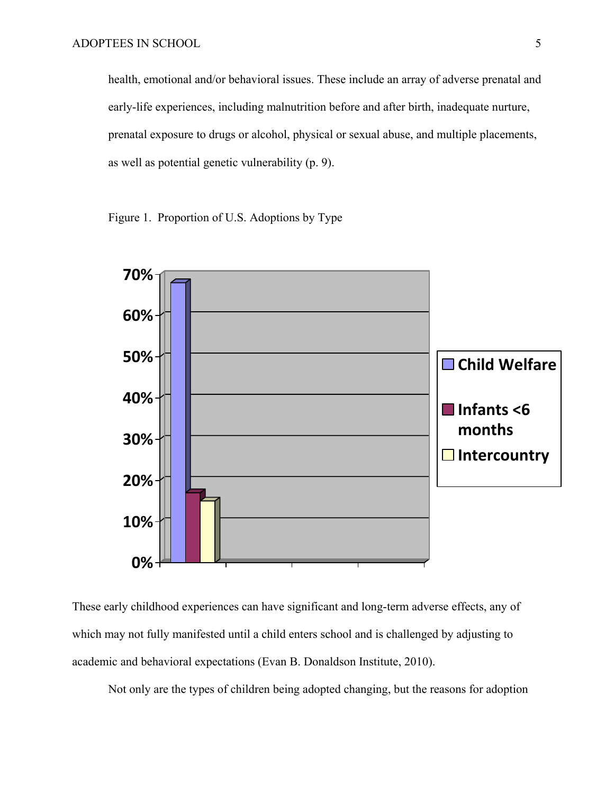health, emotional and/or behavioral issues. These include an array of adverse prenatal and early-life experiences, including malnutrition before and after birth, inadequate nurture, prenatal exposure to drugs or alcohol, physical or sexual abuse, and multiple placements, as well as potential genetic vulnerability (p. 9).

Figure 1. Proportion of U.S. Adoptions by Type



These early childhood experiences can have significant and long-term adverse effects, any of which may not fully manifested until a child enters school and is challenged by adjusting to academic and behavioral expectations (Evan B. Donaldson Institute, 2010).

Not only are the types of children being adopted changing, but the reasons for adoption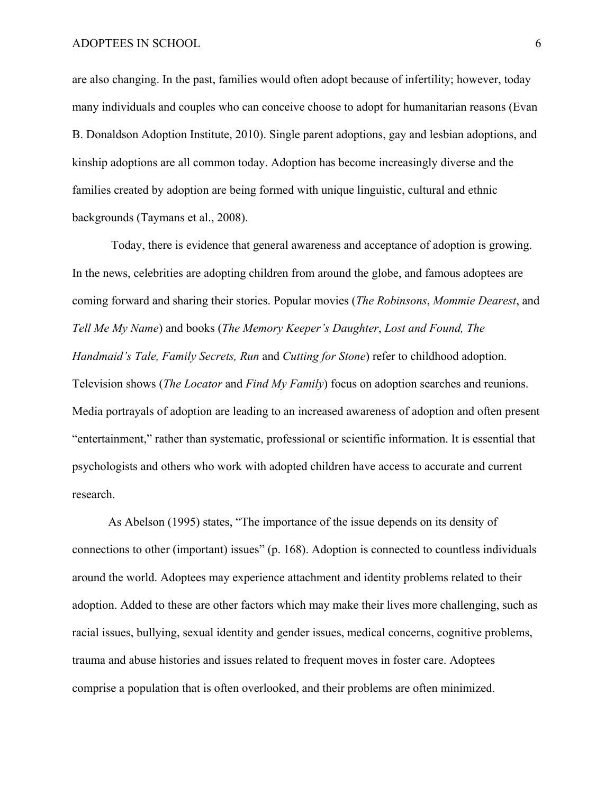are also changing. In the past, families would often adopt because of infertility; however, today many individuals and couples who can conceive choose to adopt for humanitarian reasons (Evan B. Donaldson Adoption Institute, 2010). Single parent adoptions, gay and lesbian adoptions, and kinship adoptions are all common today. Adoption has become increasingly diverse and the families created by adoption are being formed with unique linguistic, cultural and ethnic backgrounds (Taymans et al., 2008).

 Today, there is evidence that general awareness and acceptance of adoption is growing. In the news, celebrities are adopting children from around the globe, and famous adoptees are coming forward and sharing their stories. Popular movies (*The Robinsons*, *Mommie Dearest*, and *Tell Me My Name*) and books (*The Memory Keeper's Daughter*, *Lost and Found, The Handmaid's Tale, Family Secrets, Run* and *Cutting for Stone*) refer to childhood adoption. Television shows (*The Locator* and *Find My Family*) focus on adoption searches and reunions. Media portrayals of adoption are leading to an increased awareness of adoption and often present "entertainment," rather than systematic, professional or scientific information. It is essential that psychologists and others who work with adopted children have access to accurate and current research.

As Abelson (1995) states, "The importance of the issue depends on its density of connections to other (important) issues" (p. 168). Adoption is connected to countless individuals around the world. Adoptees may experience attachment and identity problems related to their adoption. Added to these are other factors which may make their lives more challenging, such as racial issues, bullying, sexual identity and gender issues, medical concerns, cognitive problems, trauma and abuse histories and issues related to frequent moves in foster care. Adoptees comprise a population that is often overlooked, and their problems are often minimized.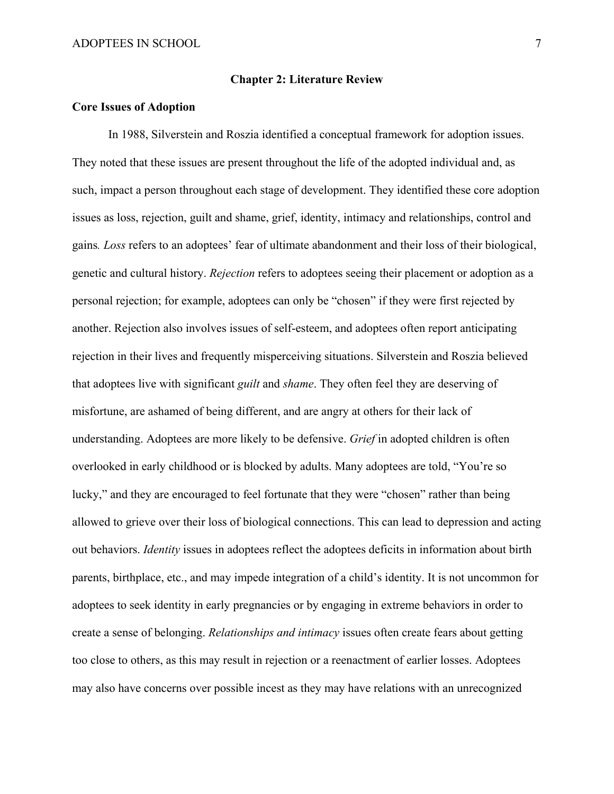### **Chapter 2: Literature Review**

### **Core Issues of Adoption**

In 1988, Silverstein and Roszia identified a conceptual framework for adoption issues. They noted that these issues are present throughout the life of the adopted individual and, as such, impact a person throughout each stage of development. They identified these core adoption issues as loss, rejection, guilt and shame, grief, identity, intimacy and relationships, control and gains*. Loss* refers to an adoptees' fear of ultimate abandonment and their loss of their biological, genetic and cultural history. *Rejection* refers to adoptees seeing their placement or adoption as a personal rejection; for example, adoptees can only be "chosen" if they were first rejected by another. Rejection also involves issues of self-esteem, and adoptees often report anticipating rejection in their lives and frequently misperceiving situations. Silverstein and Roszia believed that adoptees live with significant *guilt* and *shame*. They often feel they are deserving of misfortune, are ashamed of being different, and are angry at others for their lack of understanding. Adoptees are more likely to be defensive. *Grief* in adopted children is often overlooked in early childhood or is blocked by adults. Many adoptees are told, "You're so lucky," and they are encouraged to feel fortunate that they were "chosen" rather than being allowed to grieve over their loss of biological connections. This can lead to depression and acting out behaviors. *Identity* issues in adoptees reflect the adoptees deficits in information about birth parents, birthplace, etc., and may impede integration of a child's identity. It is not uncommon for adoptees to seek identity in early pregnancies or by engaging in extreme behaviors in order to create a sense of belonging. *Relationships and intimacy* issues often create fears about getting too close to others, as this may result in rejection or a reenactment of earlier losses. Adoptees may also have concerns over possible incest as they may have relations with an unrecognized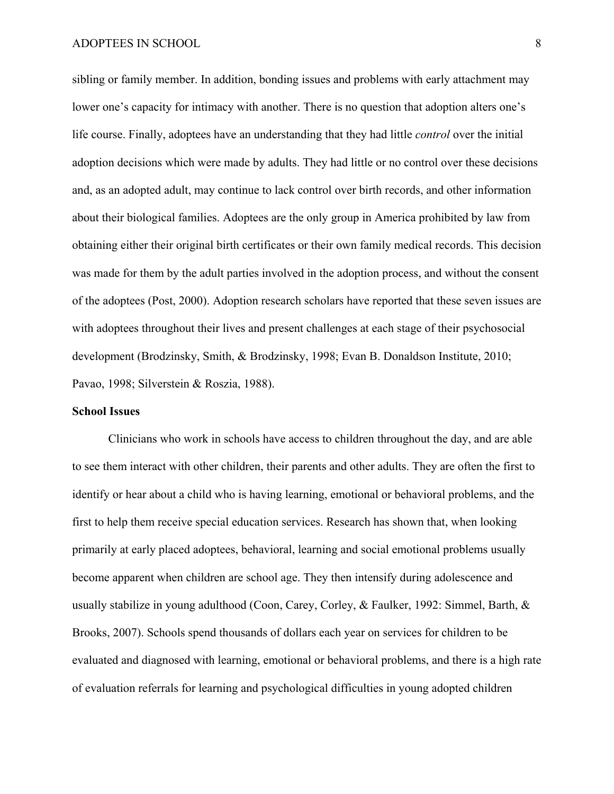sibling or family member. In addition, bonding issues and problems with early attachment may lower one's capacity for intimacy with another. There is no question that adoption alters one's life course. Finally, adoptees have an understanding that they had little *control* over the initial adoption decisions which were made by adults. They had little or no control over these decisions and, as an adopted adult, may continue to lack control over birth records, and other information about their biological families. Adoptees are the only group in America prohibited by law from obtaining either their original birth certificates or their own family medical records. This decision was made for them by the adult parties involved in the adoption process, and without the consent of the adoptees (Post, 2000). Adoption research scholars have reported that these seven issues are with adoptees throughout their lives and present challenges at each stage of their psychosocial development (Brodzinsky, Smith, & Brodzinsky, 1998; Evan B. Donaldson Institute, 2010; Pavao, 1998; Silverstein & Roszia, 1988).

### **School Issues**

Clinicians who work in schools have access to children throughout the day, and are able to see them interact with other children, their parents and other adults. They are often the first to identify or hear about a child who is having learning, emotional or behavioral problems, and the first to help them receive special education services. Research has shown that, when looking primarily at early placed adoptees, behavioral, learning and social emotional problems usually become apparent when children are school age. They then intensify during adolescence and usually stabilize in young adulthood (Coon, Carey, Corley, & Faulker, 1992: Simmel, Barth, & Brooks, 2007). Schools spend thousands of dollars each year on services for children to be evaluated and diagnosed with learning, emotional or behavioral problems, and there is a high rate of evaluation referrals for learning and psychological difficulties in young adopted children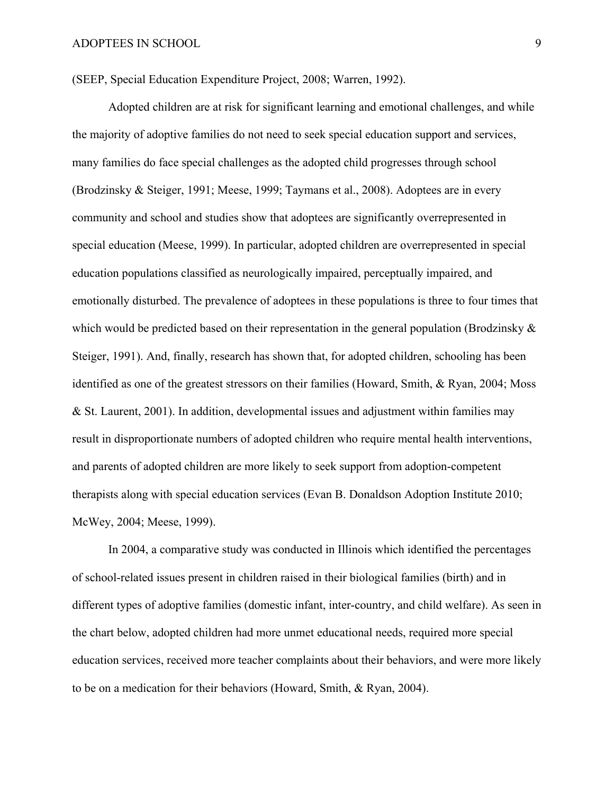(SEEP, Special Education Expenditure Project, 2008; Warren, 1992).

Adopted children are at risk for significant learning and emotional challenges, and while the majority of adoptive families do not need to seek special education support and services, many families do face special challenges as the adopted child progresses through school (Brodzinsky & Steiger, 1991; Meese, 1999; Taymans et al., 2008). Adoptees are in every community and school and studies show that adoptees are significantly overrepresented in special education (Meese, 1999). In particular, adopted children are overrepresented in special education populations classified as neurologically impaired, perceptually impaired, and emotionally disturbed. The prevalence of adoptees in these populations is three to four times that which would be predicted based on their representation in the general population (Brodzinsky  $\&$ Steiger, 1991). And, finally, research has shown that, for adopted children, schooling has been identified as one of the greatest stressors on their families (Howard, Smith, & Ryan, 2004; Moss & St. Laurent, 2001). In addition, developmental issues and adjustment within families may result in disproportionate numbers of adopted children who require mental health interventions, and parents of adopted children are more likely to seek support from adoption-competent therapists along with special education services (Evan B. Donaldson Adoption Institute 2010; McWey, 2004; Meese, 1999).

In 2004, a comparative study was conducted in Illinois which identified the percentages of school-related issues present in children raised in their biological families (birth) and in different types of adoptive families (domestic infant, inter-country, and child welfare). As seen in the chart below, adopted children had more unmet educational needs, required more special education services, received more teacher complaints about their behaviors, and were more likely to be on a medication for their behaviors (Howard, Smith, & Ryan, 2004).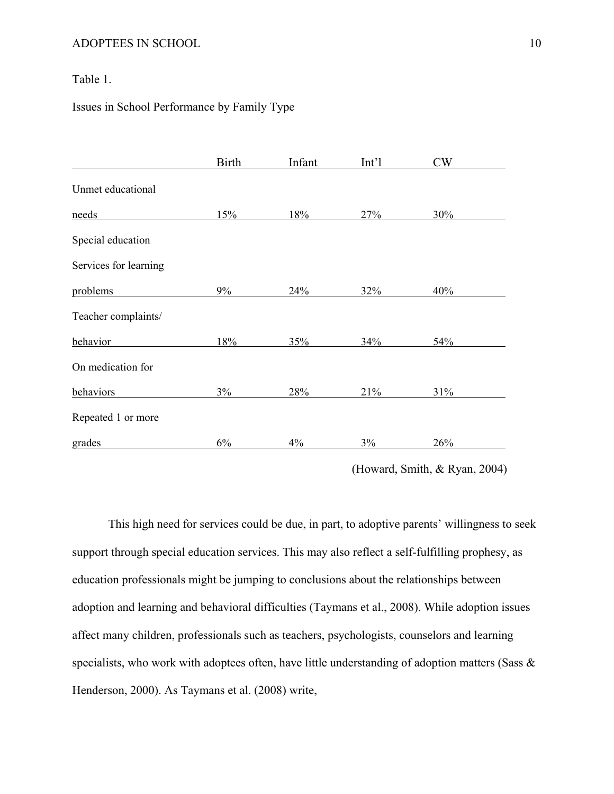# Table 1.

## Issues in School Performance by Family Type

|                       | <b>Birth</b> | Infant | Int <sup>1</sup> | CW  |
|-----------------------|--------------|--------|------------------|-----|
| Unmet educational     |              |        |                  |     |
| needs                 | 15%          | 18%    | 27%              | 30% |
| Special education     |              |        |                  |     |
| Services for learning |              |        |                  |     |
| problems              | $9\%$        | 24%    | 32%              | 40% |
| Teacher complaints/   |              |        |                  |     |
| behavior              | 18%          | 35%    | 34%              | 54% |
| On medication for     |              |        |                  |     |
| behaviors             | 3%           | 28%    | 21%              | 31% |
| Repeated 1 or more    |              |        |                  |     |
| grades                | 6%           | 4%     | 3%               | 26% |

(Howard, Smith, & Ryan, 2004)

This high need for services could be due, in part, to adoptive parents' willingness to seek support through special education services. This may also reflect a self-fulfilling prophesy, as education professionals might be jumping to conclusions about the relationships between adoption and learning and behavioral difficulties (Taymans et al., 2008). While adoption issues affect many children, professionals such as teachers, psychologists, counselors and learning specialists, who work with adoptees often, have little understanding of adoption matters (Sass & Henderson, 2000). As Taymans et al. (2008) write,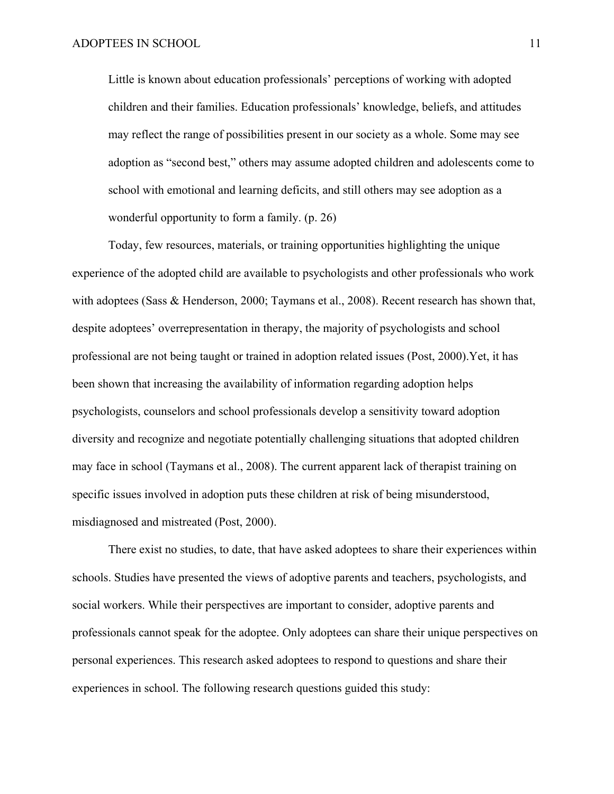Little is known about education professionals' perceptions of working with adopted children and their families. Education professionals' knowledge, beliefs, and attitudes may reflect the range of possibilities present in our society as a whole. Some may see adoption as "second best," others may assume adopted children and adolescents come to school with emotional and learning deficits, and still others may see adoption as a wonderful opportunity to form a family. (p. 26)

Today, few resources, materials, or training opportunities highlighting the unique experience of the adopted child are available to psychologists and other professionals who work with adoptees (Sass & Henderson, 2000; Taymans et al., 2008). Recent research has shown that, despite adoptees' overrepresentation in therapy, the majority of psychologists and school professional are not being taught or trained in adoption related issues (Post, 2000).Yet, it has been shown that increasing the availability of information regarding adoption helps psychologists, counselors and school professionals develop a sensitivity toward adoption diversity and recognize and negotiate potentially challenging situations that adopted children may face in school (Taymans et al., 2008). The current apparent lack of therapist training on specific issues involved in adoption puts these children at risk of being misunderstood, misdiagnosed and mistreated (Post, 2000).

There exist no studies, to date, that have asked adoptees to share their experiences within schools. Studies have presented the views of adoptive parents and teachers, psychologists, and social workers. While their perspectives are important to consider, adoptive parents and professionals cannot speak for the adoptee. Only adoptees can share their unique perspectives on personal experiences. This research asked adoptees to respond to questions and share their experiences in school. The following research questions guided this study: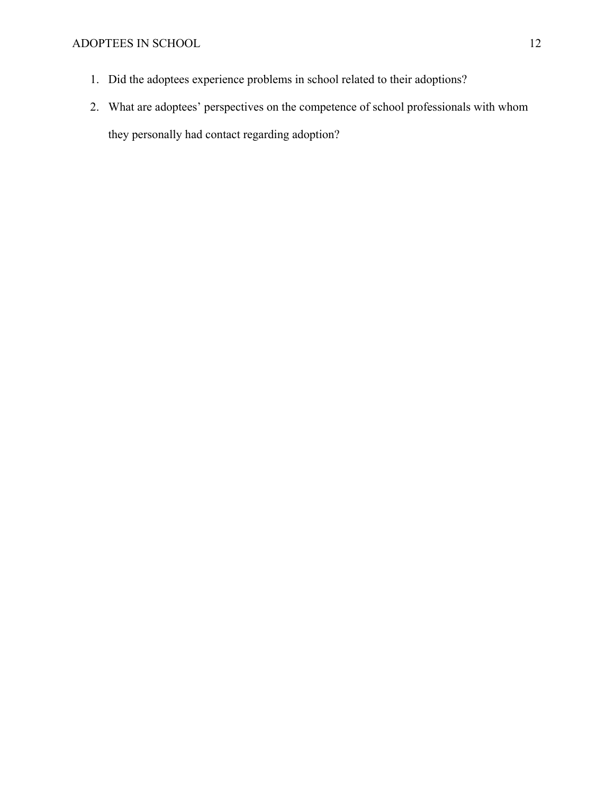- 1. Did the adoptees experience problems in school related to their adoptions?
- 2. What are adoptees' perspectives on the competence of school professionals with whom they personally had contact regarding adoption?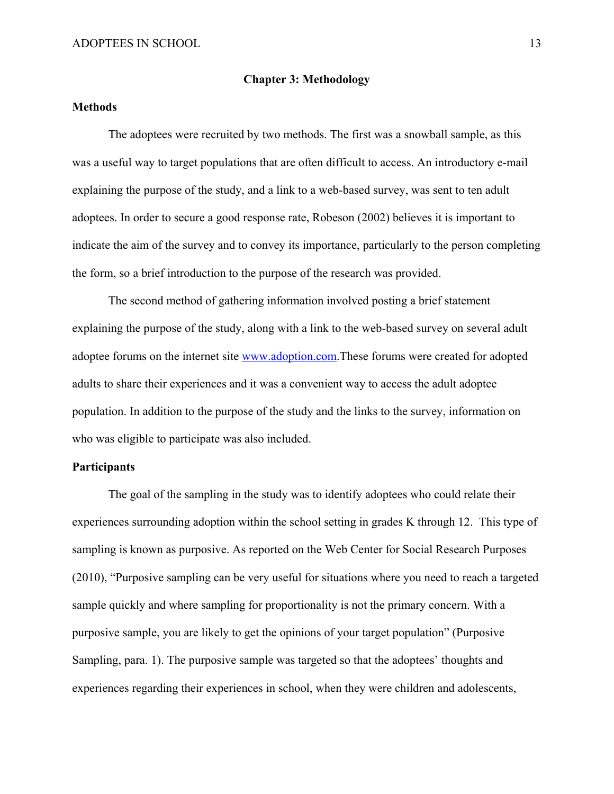### **Chapter 3: Methodology**

### **Methods**

The adoptees were recruited by two methods. The first was a snowball sample, as this was a useful way to target populations that are often difficult to access. An introductory e-mail explaining the purpose of the study, and a link to a web-based survey, was sent to ten adult adoptees. In order to secure a good response rate, Robeson (2002) believes it is important to indicate the aim of the survey and to convey its importance, particularly to the person completing the form, so a brief introduction to the purpose of the research was provided.

The second method of gathering information involved posting a brief statement explaining the purpose of the study, along with a link to the web-based survey on several adult adoptee forums on the internet site www.adoption.com.These forums were created for adopted adults to share their experiences and it was a convenient way to access the adult adoptee population. In addition to the purpose of the study and the links to the survey, information on who was eligible to participate was also included.

### **Participants**

The goal of the sampling in the study was to identify adoptees who could relate their experiences surrounding adoption within the school setting in grades K through 12. This type of sampling is known as purposive. As reported on the Web Center for Social Research Purposes (2010), "Purposive sampling can be very useful for situations where you need to reach a targeted sample quickly and where sampling for proportionality is not the primary concern. With a purposive sample, you are likely to get the opinions of your target population" (Purposive Sampling, para. 1). The purposive sample was targeted so that the adoptees' thoughts and experiences regarding their experiences in school, when they were children and adolescents,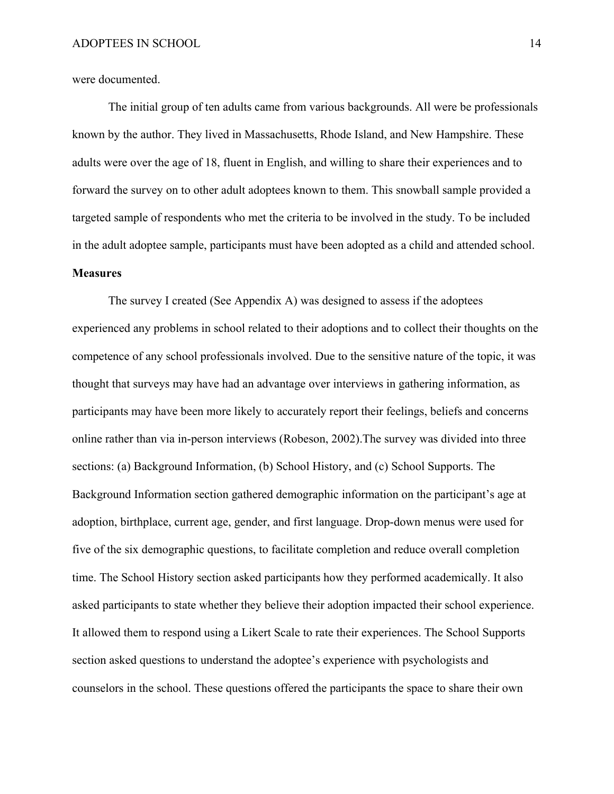were documented.

The initial group of ten adults came from various backgrounds. All were be professionals known by the author. They lived in Massachusetts, Rhode Island, and New Hampshire. These adults were over the age of 18, fluent in English, and willing to share their experiences and to forward the survey on to other adult adoptees known to them. This snowball sample provided a targeted sample of respondents who met the criteria to be involved in the study. To be included in the adult adoptee sample, participants must have been adopted as a child and attended school. **Measures** 

The survey I created (See Appendix A) was designed to assess if the adoptees experienced any problems in school related to their adoptions and to collect their thoughts on the competence of any school professionals involved. Due to the sensitive nature of the topic, it was thought that surveys may have had an advantage over interviews in gathering information, as participants may have been more likely to accurately report their feelings, beliefs and concerns online rather than via in-person interviews (Robeson, 2002).The survey was divided into three sections: (a) Background Information, (b) School History, and (c) School Supports. The Background Information section gathered demographic information on the participant's age at adoption, birthplace, current age, gender, and first language. Drop-down menus were used for five of the six demographic questions, to facilitate completion and reduce overall completion time. The School History section asked participants how they performed academically. It also asked participants to state whether they believe their adoption impacted their school experience. It allowed them to respond using a Likert Scale to rate their experiences. The School Supports section asked questions to understand the adoptee's experience with psychologists and counselors in the school. These questions offered the participants the space to share their own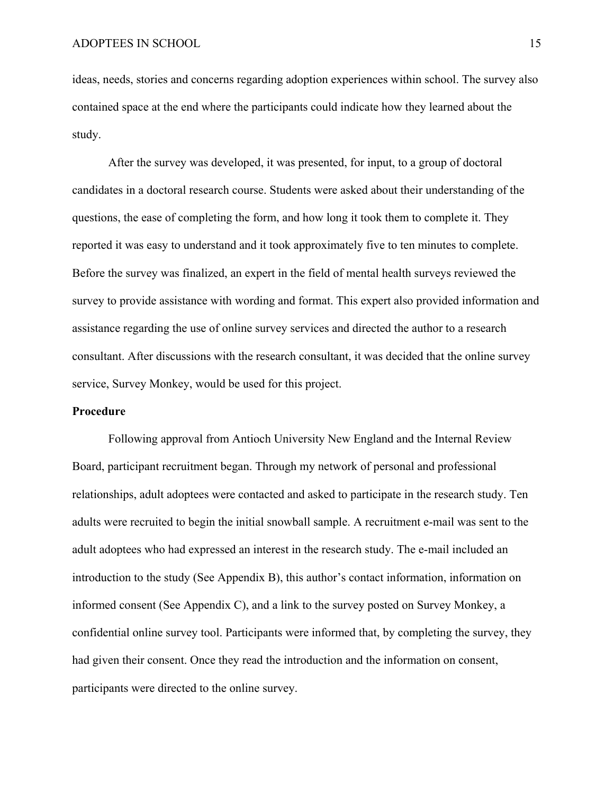ideas, needs, stories and concerns regarding adoption experiences within school. The survey also contained space at the end where the participants could indicate how they learned about the study.

After the survey was developed, it was presented, for input, to a group of doctoral candidates in a doctoral research course. Students were asked about their understanding of the questions, the ease of completing the form, and how long it took them to complete it. They reported it was easy to understand and it took approximately five to ten minutes to complete. Before the survey was finalized, an expert in the field of mental health surveys reviewed the survey to provide assistance with wording and format. This expert also provided information and assistance regarding the use of online survey services and directed the author to a research consultant. After discussions with the research consultant, it was decided that the online survey service, Survey Monkey, would be used for this project.

#### **Procedure**

Following approval from Antioch University New England and the Internal Review Board, participant recruitment began. Through my network of personal and professional relationships, adult adoptees were contacted and asked to participate in the research study. Ten adults were recruited to begin the initial snowball sample. A recruitment e-mail was sent to the adult adoptees who had expressed an interest in the research study. The e-mail included an introduction to the study (See Appendix B), this author's contact information, information on informed consent (See Appendix C), and a link to the survey posted on Survey Monkey, a confidential online survey tool. Participants were informed that, by completing the survey, they had given their consent. Once they read the introduction and the information on consent, participants were directed to the online survey.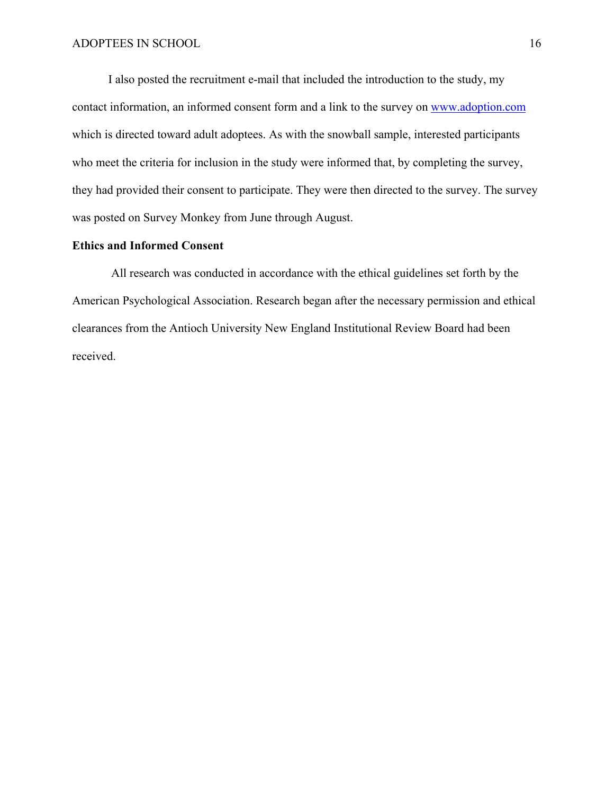I also posted the recruitment e-mail that included the introduction to the study, my contact information, an informed consent form and a link to the survey on www.adoption.com which is directed toward adult adoptees. As with the snowball sample, interested participants who meet the criteria for inclusion in the study were informed that, by completing the survey, they had provided their consent to participate. They were then directed to the survey. The survey was posted on Survey Monkey from June through August.

### **Ethics and Informed Consent**

All research was conducted in accordance with the ethical guidelines set forth by the American Psychological Association. Research began after the necessary permission and ethical clearances from the Antioch University New England Institutional Review Board had been received.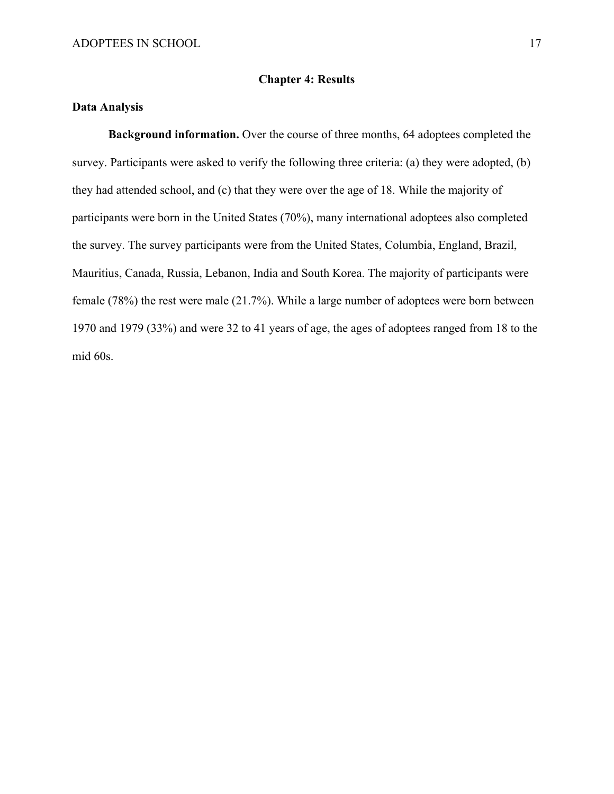### **Chapter 4: Results**

### **Data Analysis**

**Background information.** Over the course of three months, 64 adoptees completed the survey. Participants were asked to verify the following three criteria: (a) they were adopted, (b) they had attended school, and (c) that they were over the age of 18. While the majority of participants were born in the United States (70%), many international adoptees also completed the survey. The survey participants were from the United States, Columbia, England, Brazil, Mauritius, Canada, Russia, Lebanon, India and South Korea. The majority of participants were female (78%) the rest were male (21.7%). While a large number of adoptees were born between 1970 and 1979 (33%) and were 32 to 41 years of age, the ages of adoptees ranged from 18 to the mid 60s.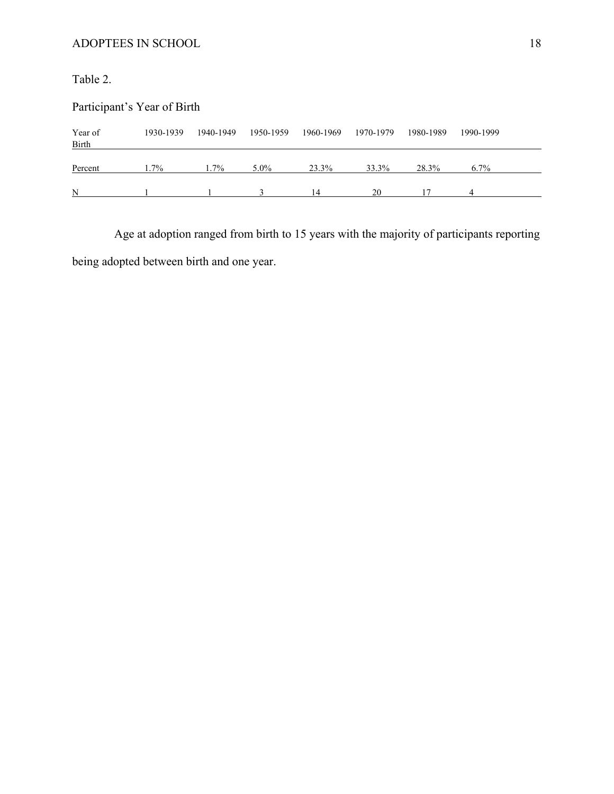Table 2.

| Participant's Year of Birth |           |           |           |           |           |           |           |  |  |
|-----------------------------|-----------|-----------|-----------|-----------|-----------|-----------|-----------|--|--|
| Year of<br><b>Birth</b>     | 1930-1939 | 1940-1949 | 1950-1959 | 1960-1969 | 1970-1979 | 1980-1989 | 1990-1999 |  |  |
| Percent                     | $1.7\%$   | $.7\%$    | $5.0\%$   | 23.3%     | 33.3%     | 28.3%     | $6.7\%$   |  |  |
| N                           |           |           |           | 14        | 20        |           |           |  |  |

 Age at adoption ranged from birth to 15 years with the majority of participants reporting being adopted between birth and one year.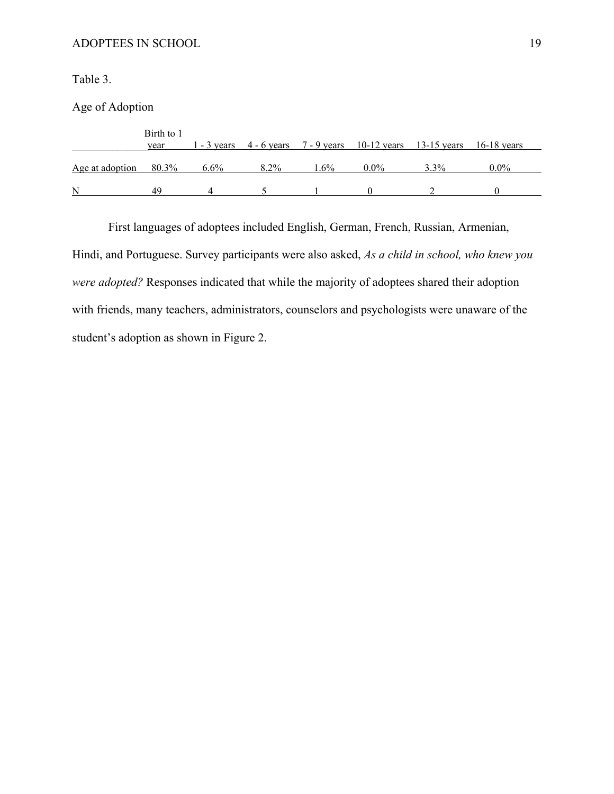Table 3.

Age of Adoption

|                 | Birth to 1<br>vear |         |      |        | 1 - 3 years $4 - 6$ years $7 - 9$ years $10 - 12$ years $13 - 15$ years $16 - 18$ years |      |         |
|-----------------|--------------------|---------|------|--------|-----------------------------------------------------------------------------------------|------|---------|
| Age at adoption | 80.3%              | $6.6\%$ | 8.2% | $.6\%$ | $0.0\%$                                                                                 | 3.3% | $0.0\%$ |
| N               | 40                 |         |      |        |                                                                                         |      |         |

First languages of adoptees included English, German, French, Russian, Armenian, Hindi, and Portuguese. Survey participants were also asked, *As a child in school, who knew you were adopted?* Responses indicated that while the majority of adoptees shared their adoption with friends, many teachers, administrators, counselors and psychologists were unaware of the student's adoption as shown in Figure 2.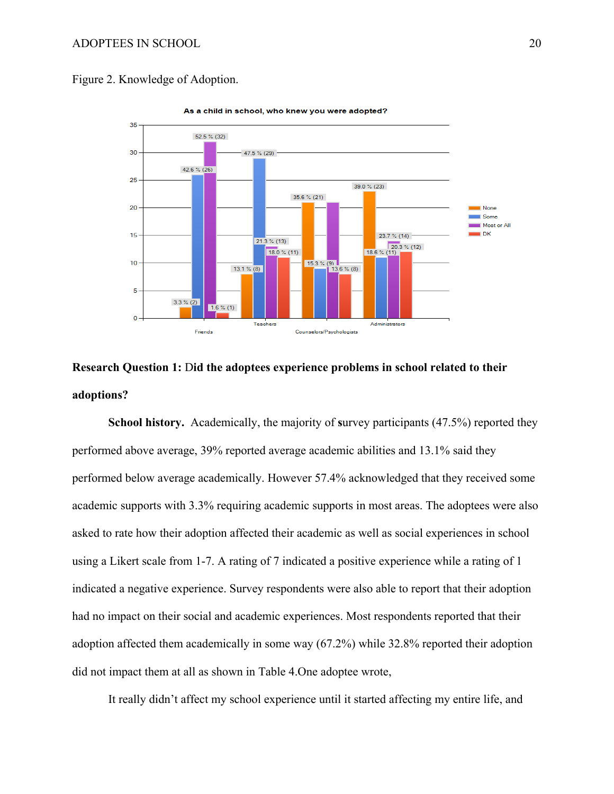Figure 2. Knowledge of Adoption.



As a child in school, who knew you were adopted?

# **Research Question 1:** D**id the adoptees experience problems in school related to their adoptions?**

**School history.** Academically, the majority of **s**urvey participants (47.5%) reported they performed above average, 39% reported average academic abilities and 13.1% said they performed below average academically. However 57.4% acknowledged that they received some academic supports with 3.3% requiring academic supports in most areas. The adoptees were also asked to rate how their adoption affected their academic as well as social experiences in school using a Likert scale from 1-7. A rating of 7 indicated a positive experience while a rating of 1 indicated a negative experience. Survey respondents were also able to report that their adoption had no impact on their social and academic experiences. Most respondents reported that their adoption affected them academically in some way (67.2%) while 32.8% reported their adoption did not impact them at all as shown in Table 4.One adoptee wrote,

It really didn't affect my school experience until it started affecting my entire life, and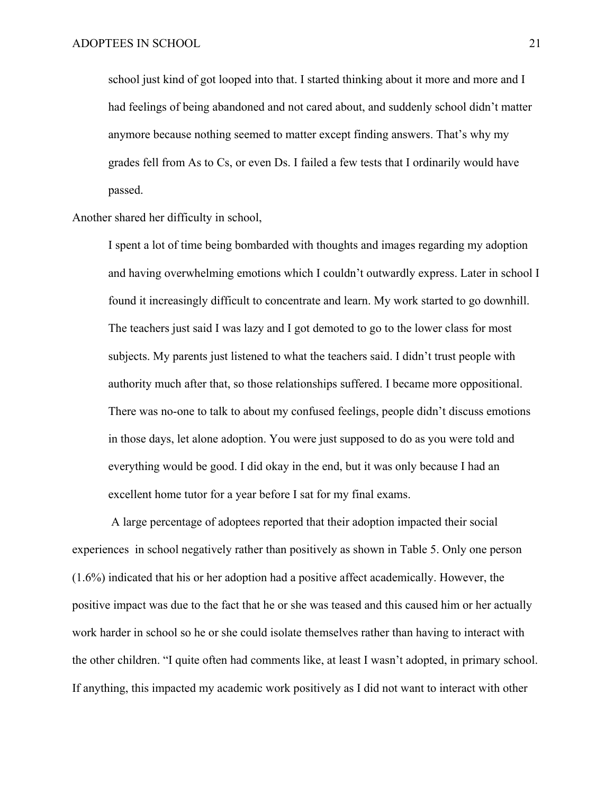school just kind of got looped into that. I started thinking about it more and more and I had feelings of being abandoned and not cared about, and suddenly school didn't matter anymore because nothing seemed to matter except finding answers. That's why my grades fell from As to Cs, or even Ds. I failed a few tests that I ordinarily would have passed.

Another shared her difficulty in school,

I spent a lot of time being bombarded with thoughts and images regarding my adoption and having overwhelming emotions which I couldn't outwardly express. Later in school I found it increasingly difficult to concentrate and learn. My work started to go downhill. The teachers just said I was lazy and I got demoted to go to the lower class for most subjects. My parents just listened to what the teachers said. I didn't trust people with authority much after that, so those relationships suffered. I became more oppositional. There was no-one to talk to about my confused feelings, people didn't discuss emotions in those days, let alone adoption. You were just supposed to do as you were told and everything would be good. I did okay in the end, but it was only because I had an excellent home tutor for a year before I sat for my final exams.

 A large percentage of adoptees reported that their adoption impacted their social experiences in school negatively rather than positively as shown in Table 5. Only one person (1.6%) indicated that his or her adoption had a positive affect academically. However, the positive impact was due to the fact that he or she was teased and this caused him or her actually work harder in school so he or she could isolate themselves rather than having to interact with the other children. "I quite often had comments like, at least I wasn't adopted, in primary school. If anything, this impacted my academic work positively as I did not want to interact with other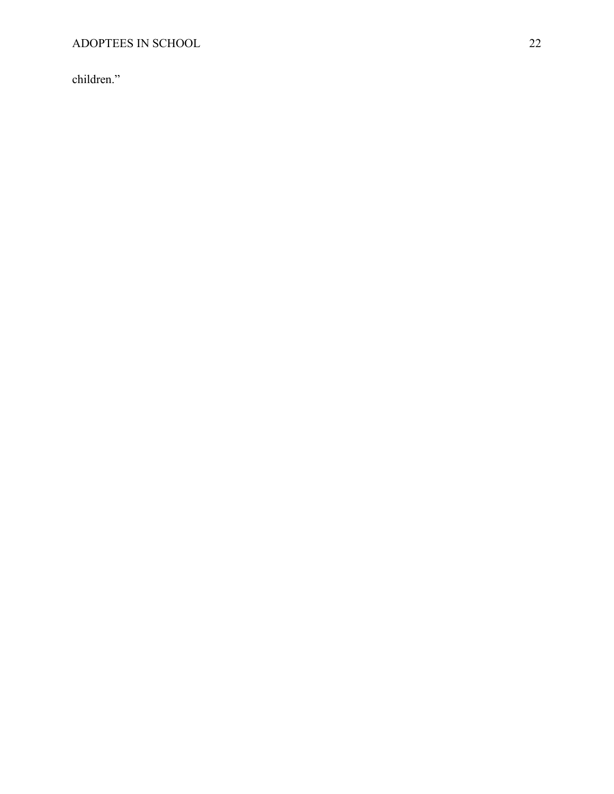children."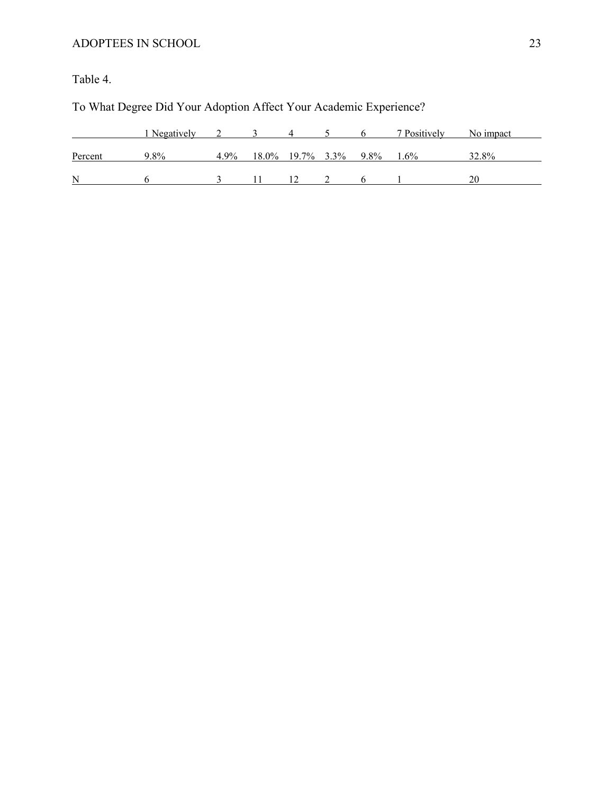Table 4.

# To What Degree Did Your Adoption Affect Your Academic Experience?

|         | Negatively |         |                     |      | 7 Positively | No impact |
|---------|------------|---------|---------------------|------|--------------|-----------|
|         |            |         |                     |      |              |           |
| Percent | 9.8%       | $4.9\%$ | $18.0\%$ 19.7% 3.3% | 9.8% | $1.6\%$      | 32.8%     |
|         |            |         |                     |      |              |           |
| N       |            |         |                     |      |              |           |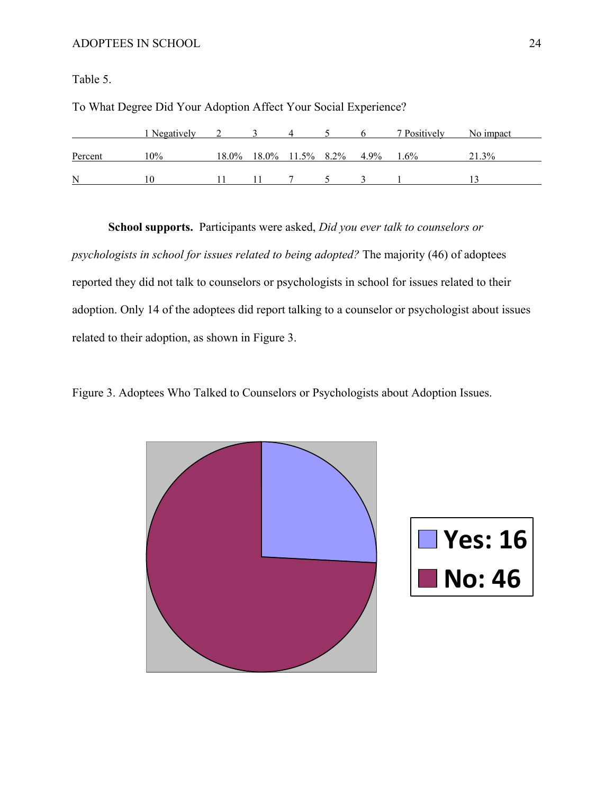Table 5.

|         | 1 Negatively |  |  |                                  | 7 Positively | No impact |
|---------|--------------|--|--|----------------------------------|--------------|-----------|
| Percent | 10%          |  |  | 18.0% 18.0% 11.5% 8.2% 4.9% 1.6% |              | 21.3%     |
| N       | I ()         |  |  |                                  |              |           |

To What Degree Did Your Adoption Affect Your Social Experience?

**School supports.** Participants were asked, *Did you ever talk to counselors or* 

*psychologists in school for issues related to being adopted?* The majority (46) of adoptees reported they did not talk to counselors or psychologists in school for issues related to their adoption. Only 14 of the adoptees did report talking to a counselor or psychologist about issues related to their adoption, as shown in Figure 3.

Figure 3. Adoptees Who Talked to Counselors or Psychologists about Adoption Issues.



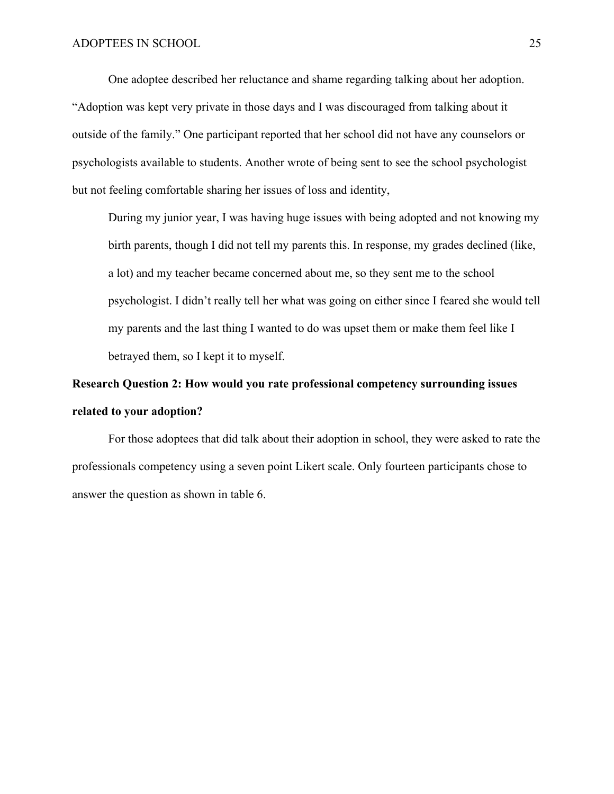One adoptee described her reluctance and shame regarding talking about her adoption. "Adoption was kept very private in those days and I was discouraged from talking about it outside of the family." One participant reported that her school did not have any counselors or psychologists available to students. Another wrote of being sent to see the school psychologist but not feeling comfortable sharing her issues of loss and identity,

During my junior year, I was having huge issues with being adopted and not knowing my birth parents, though I did not tell my parents this. In response, my grades declined (like, a lot) and my teacher became concerned about me, so they sent me to the school psychologist. I didn't really tell her what was going on either since I feared she would tell my parents and the last thing I wanted to do was upset them or make them feel like I betrayed them, so I kept it to myself.

# **Research Question 2: How would you rate professional competency surrounding issues related to your adoption?**

For those adoptees that did talk about their adoption in school, they were asked to rate the professionals competency using a seven point Likert scale. Only fourteen participants chose to answer the question as shown in table 6.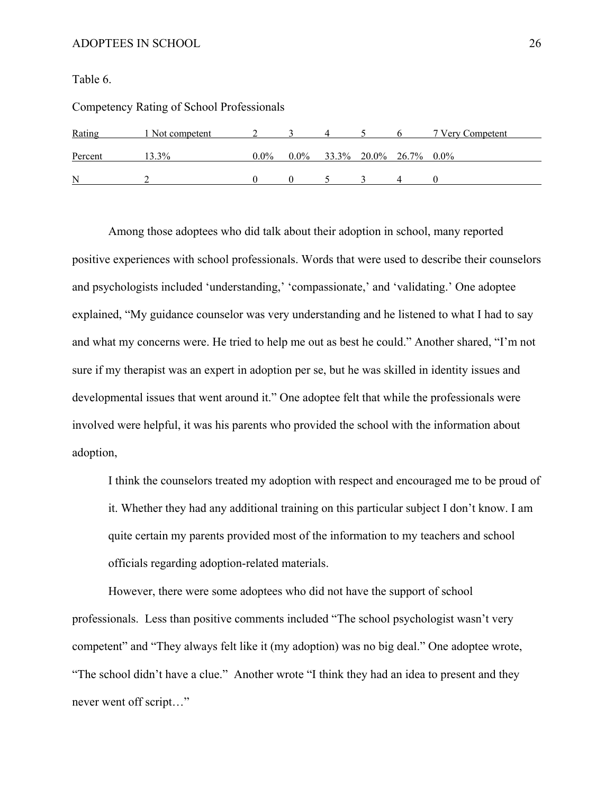Table 6.

| Competency Rating of School Professionals |  |  |
|-------------------------------------------|--|--|

| Rating  | 1 Not competent |         |                                |  | 7 Very Competent |
|---------|-----------------|---------|--------------------------------|--|------------------|
| Percent | $3.3\%$         | $0.0\%$ | $0.0\%$ 33.3% 20.0% 26.7% 0.0% |  |                  |
| N       |                 |         |                                |  |                  |

Among those adoptees who did talk about their adoption in school, many reported positive experiences with school professionals. Words that were used to describe their counselors and psychologists included 'understanding,' 'compassionate,' and 'validating.' One adoptee explained, "My guidance counselor was very understanding and he listened to what I had to say and what my concerns were. He tried to help me out as best he could." Another shared, "I'm not sure if my therapist was an expert in adoption per se, but he was skilled in identity issues and developmental issues that went around it." One adoptee felt that while the professionals were involved were helpful, it was his parents who provided the school with the information about adoption,

I think the counselors treated my adoption with respect and encouraged me to be proud of it. Whether they had any additional training on this particular subject I don't know. I am quite certain my parents provided most of the information to my teachers and school officials regarding adoption-related materials.

However, there were some adoptees who did not have the support of school professionals. Less than positive comments included "The school psychologist wasn't very competent" and "They always felt like it (my adoption) was no big deal." One adoptee wrote, "The school didn't have a clue." Another wrote "I think they had an idea to present and they never went off script…"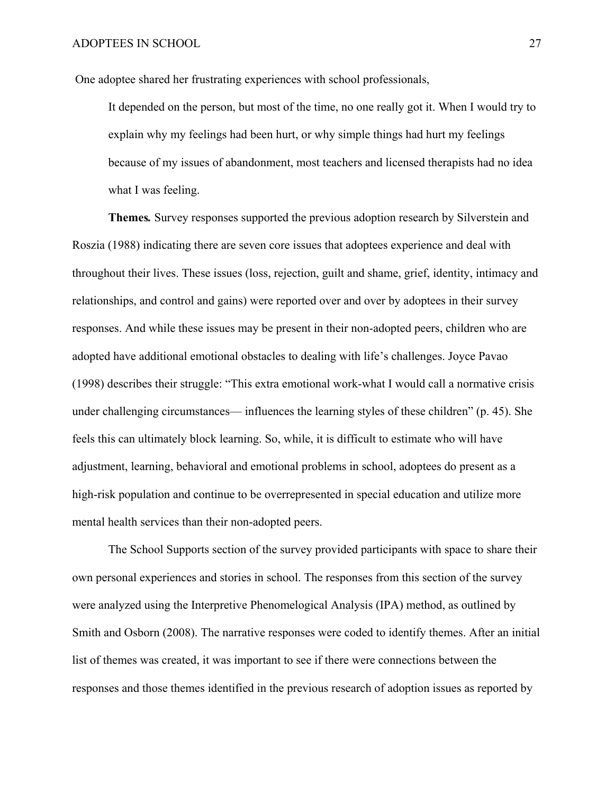One adoptee shared her frustrating experiences with school professionals,

It depended on the person, but most of the time, no one really got it. When I would try to explain why my feelings had been hurt, or why simple things had hurt my feelings because of my issues of abandonment, most teachers and licensed therapists had no idea what I was feeling.

**Themes***.* Survey responses supported the previous adoption research by Silverstein and Roszia (1988) indicating there are seven core issues that adoptees experience and deal with throughout their lives. These issues (loss, rejection, guilt and shame, grief, identity, intimacy and relationships, and control and gains) were reported over and over by adoptees in their survey responses. And while these issues may be present in their non-adopted peers, children who are adopted have additional emotional obstacles to dealing with life's challenges. Joyce Pavao (1998) describes their struggle: "This extra emotional work-what I would call a normative crisis under challenging circumstances— influences the learning styles of these children" (p. 45). She feels this can ultimately block learning. So, while, it is difficult to estimate who will have adjustment, learning, behavioral and emotional problems in school, adoptees do present as a high-risk population and continue to be overrepresented in special education and utilize more mental health services than their non-adopted peers.

The School Supports section of the survey provided participants with space to share their own personal experiences and stories in school. The responses from this section of the survey were analyzed using the Interpretive Phenomelogical Analysis (IPA) method, as outlined by Smith and Osborn (2008). The narrative responses were coded to identify themes. After an initial list of themes was created, it was important to see if there were connections between the responses and those themes identified in the previous research of adoption issues as reported by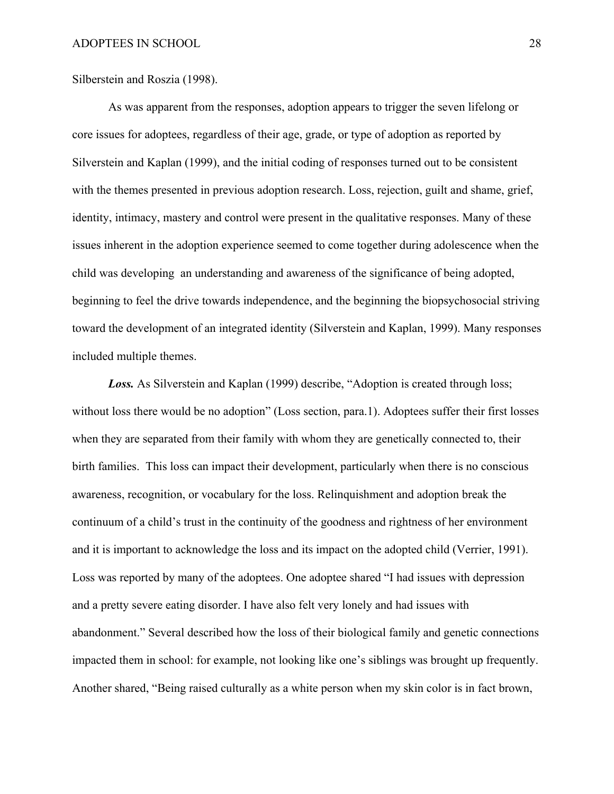Silberstein and Roszia (1998).

As was apparent from the responses, adoption appears to trigger the seven lifelong or core issues for adoptees, regardless of their age, grade, or type of adoption as reported by Silverstein and Kaplan (1999), and the initial coding of responses turned out to be consistent with the themes presented in previous adoption research. Loss, rejection, guilt and shame, grief, identity, intimacy, mastery and control were present in the qualitative responses. Many of these issues inherent in the adoption experience seemed to come together during adolescence when the child was developing an understanding and awareness of the significance of being adopted, beginning to feel the drive towards independence, and the beginning the biopsychosocial striving toward the development of an integrated identity (Silverstein and Kaplan, 1999). Many responses included multiple themes.

*Loss.* As Silverstein and Kaplan (1999) describe, "Adoption is created through loss; without loss there would be no adoption" (Loss section, para.1). Adoptees suffer their first losses when they are separated from their family with whom they are genetically connected to, their birth families. This loss can impact their development, particularly when there is no conscious awareness, recognition, or vocabulary for the loss. Relinquishment and adoption break the continuum of a child's trust in the continuity of the goodness and rightness of her environment and it is important to acknowledge the loss and its impact on the adopted child (Verrier, 1991). Loss was reported by many of the adoptees. One adoptee shared "I had issues with depression and a pretty severe eating disorder. I have also felt very lonely and had issues with abandonment." Several described how the loss of their biological family and genetic connections impacted them in school: for example, not looking like one's siblings was brought up frequently. Another shared, "Being raised culturally as a white person when my skin color is in fact brown,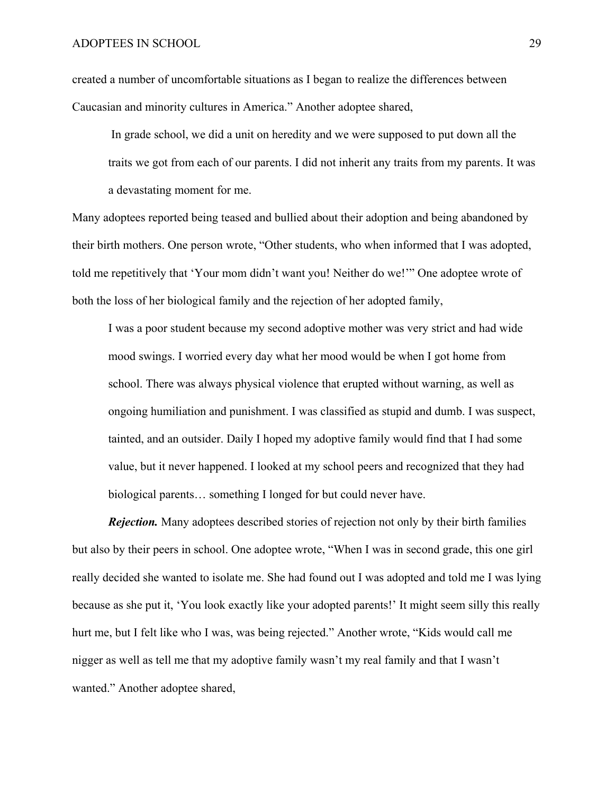created a number of uncomfortable situations as I began to realize the differences between Caucasian and minority cultures in America." Another adoptee shared,

 In grade school, we did a unit on heredity and we were supposed to put down all the traits we got from each of our parents. I did not inherit any traits from my parents. It was a devastating moment for me.

Many adoptees reported being teased and bullied about their adoption and being abandoned by their birth mothers. One person wrote, "Other students, who when informed that I was adopted, told me repetitively that 'Your mom didn't want you! Neither do we!'" One adoptee wrote of both the loss of her biological family and the rejection of her adopted family,

I was a poor student because my second adoptive mother was very strict and had wide mood swings. I worried every day what her mood would be when I got home from school. There was always physical violence that erupted without warning, as well as ongoing humiliation and punishment. I was classified as stupid and dumb. I was suspect, tainted, and an outsider. Daily I hoped my adoptive family would find that I had some value, but it never happened. I looked at my school peers and recognized that they had biological parents… something I longed for but could never have.

*Rejection.* Many adoptees described stories of rejection not only by their birth families but also by their peers in school. One adoptee wrote, "When I was in second grade, this one girl really decided she wanted to isolate me. She had found out I was adopted and told me I was lying because as she put it, 'You look exactly like your adopted parents!' It might seem silly this really hurt me, but I felt like who I was, was being rejected." Another wrote, "Kids would call me nigger as well as tell me that my adoptive family wasn't my real family and that I wasn't wanted." Another adoptee shared,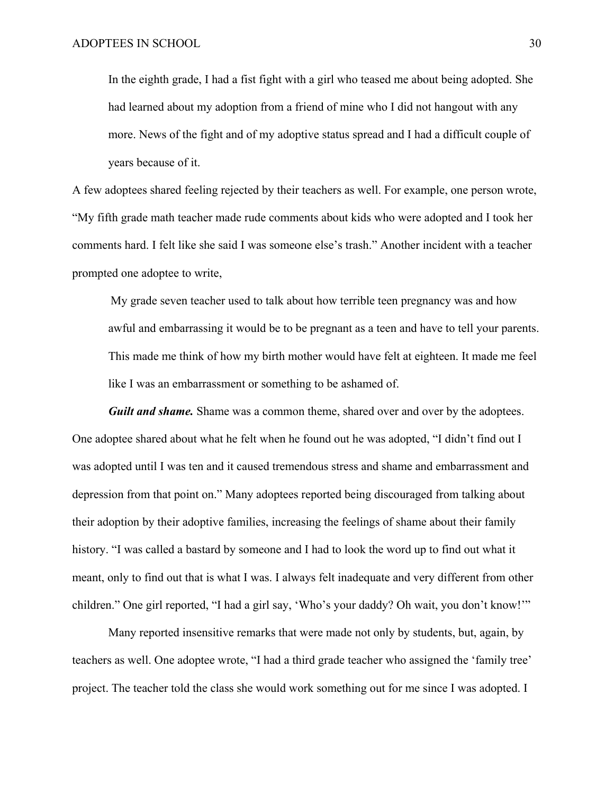In the eighth grade, I had a fist fight with a girl who teased me about being adopted. She had learned about my adoption from a friend of mine who I did not hangout with any more. News of the fight and of my adoptive status spread and I had a difficult couple of years because of it.

A few adoptees shared feeling rejected by their teachers as well. For example, one person wrote, "My fifth grade math teacher made rude comments about kids who were adopted and I took her comments hard. I felt like she said I was someone else's trash." Another incident with a teacher prompted one adoptee to write,

My grade seven teacher used to talk about how terrible teen pregnancy was and how awful and embarrassing it would be to be pregnant as a teen and have to tell your parents. This made me think of how my birth mother would have felt at eighteen. It made me feel like I was an embarrassment or something to be ashamed of.

**Guilt and shame.** Shame was a common theme, shared over and over by the adoptees. One adoptee shared about what he felt when he found out he was adopted, "I didn't find out I was adopted until I was ten and it caused tremendous stress and shame and embarrassment and depression from that point on." Many adoptees reported being discouraged from talking about their adoption by their adoptive families, increasing the feelings of shame about their family history. "I was called a bastard by someone and I had to look the word up to find out what it meant, only to find out that is what I was. I always felt inadequate and very different from other children." One girl reported, "I had a girl say, 'Who's your daddy? Oh wait, you don't know!'"

Many reported insensitive remarks that were made not only by students, but, again, by teachers as well. One adoptee wrote, "I had a third grade teacher who assigned the 'family tree' project. The teacher told the class she would work something out for me since I was adopted. I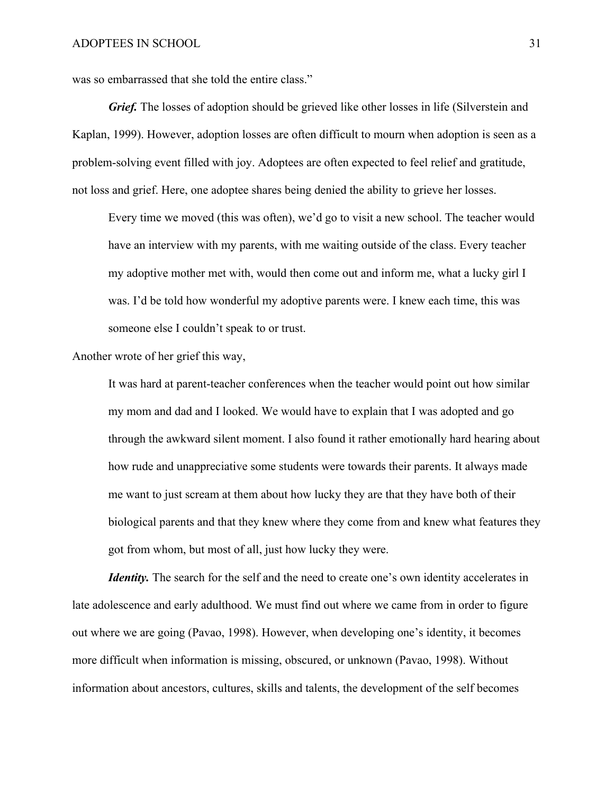was so embarrassed that she told the entire class."

*Grief.* The losses of adoption should be grieved like other losses in life (Silverstein and Kaplan, 1999). However, adoption losses are often difficult to mourn when adoption is seen as a problem-solving event filled with joy. Adoptees are often expected to feel relief and gratitude, not loss and grief. Here, one adoptee shares being denied the ability to grieve her losses.

Every time we moved (this was often), we'd go to visit a new school. The teacher would have an interview with my parents, with me waiting outside of the class. Every teacher my adoptive mother met with, would then come out and inform me, what a lucky girl I was. I'd be told how wonderful my adoptive parents were. I knew each time, this was someone else I couldn't speak to or trust.

Another wrote of her grief this way,

It was hard at parent-teacher conferences when the teacher would point out how similar my mom and dad and I looked. We would have to explain that I was adopted and go through the awkward silent moment. I also found it rather emotionally hard hearing about how rude and unappreciative some students were towards their parents. It always made me want to just scream at them about how lucky they are that they have both of their biological parents and that they knew where they come from and knew what features they got from whom, but most of all, just how lucky they were.

*Identity*. The search for the self and the need to create one's own identity accelerates in late adolescence and early adulthood. We must find out where we came from in order to figure out where we are going (Pavao, 1998). However, when developing one's identity, it becomes more difficult when information is missing, obscured, or unknown (Pavao, 1998). Without information about ancestors, cultures, skills and talents, the development of the self becomes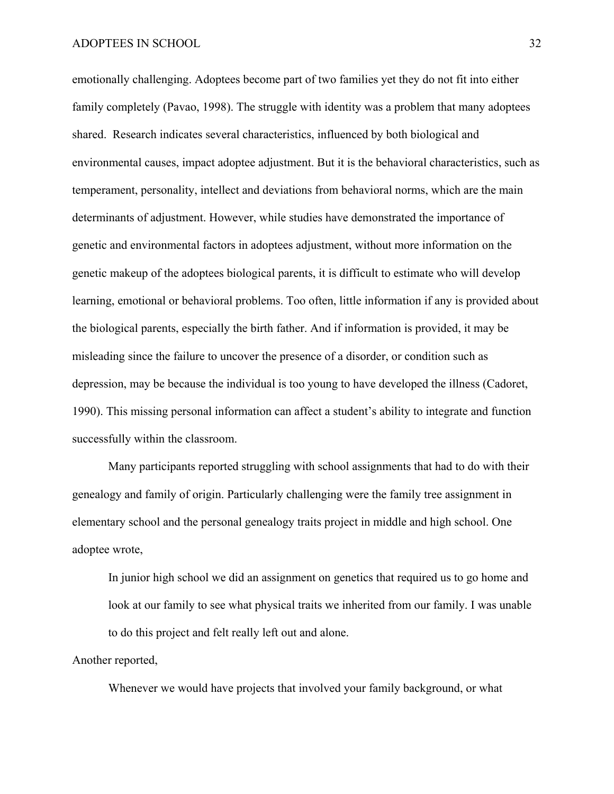emotionally challenging. Adoptees become part of two families yet they do not fit into either family completely (Pavao, 1998). The struggle with identity was a problem that many adoptees shared. Research indicates several characteristics, influenced by both biological and environmental causes, impact adoptee adjustment. But it is the behavioral characteristics, such as temperament, personality, intellect and deviations from behavioral norms, which are the main determinants of adjustment. However, while studies have demonstrated the importance of genetic and environmental factors in adoptees adjustment, without more information on the genetic makeup of the adoptees biological parents, it is difficult to estimate who will develop learning, emotional or behavioral problems. Too often, little information if any is provided about the biological parents, especially the birth father. And if information is provided, it may be misleading since the failure to uncover the presence of a disorder, or condition such as depression, may be because the individual is too young to have developed the illness (Cadoret, 1990). This missing personal information can affect a student's ability to integrate and function successfully within the classroom.

Many participants reported struggling with school assignments that had to do with their genealogy and family of origin. Particularly challenging were the family tree assignment in elementary school and the personal genealogy traits project in middle and high school. One adoptee wrote,

In junior high school we did an assignment on genetics that required us to go home and look at our family to see what physical traits we inherited from our family. I was unable to do this project and felt really left out and alone.

Another reported,

Whenever we would have projects that involved your family background, or what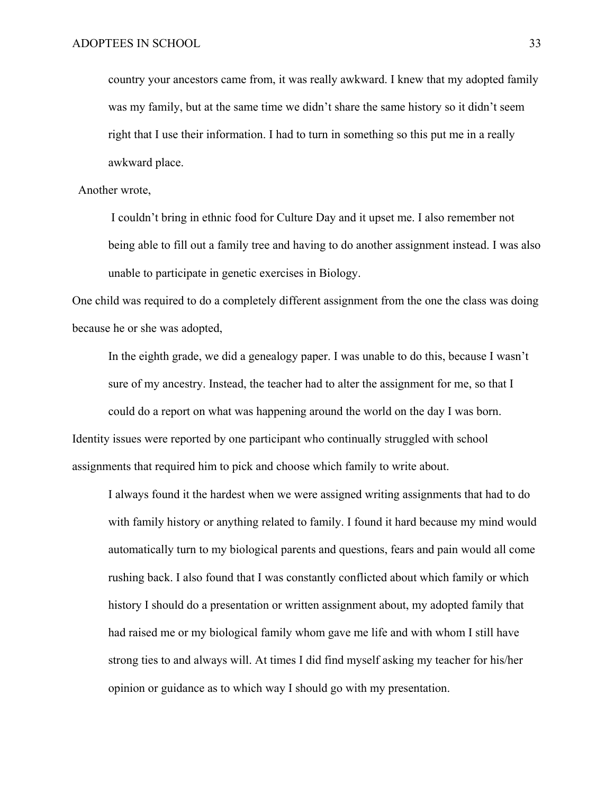country your ancestors came from, it was really awkward. I knew that my adopted family was my family, but at the same time we didn't share the same history so it didn't seem right that I use their information. I had to turn in something so this put me in a really awkward place.

### Another wrote,

 I couldn't bring in ethnic food for Culture Day and it upset me. I also remember not being able to fill out a family tree and having to do another assignment instead. I was also unable to participate in genetic exercises in Biology.

One child was required to do a completely different assignment from the one the class was doing because he or she was adopted,

In the eighth grade, we did a genealogy paper. I was unable to do this, because I wasn't sure of my ancestry. Instead, the teacher had to alter the assignment for me, so that I could do a report on what was happening around the world on the day I was born. Identity issues were reported by one participant who continually struggled with school assignments that required him to pick and choose which family to write about.

I always found it the hardest when we were assigned writing assignments that had to do with family history or anything related to family. I found it hard because my mind would automatically turn to my biological parents and questions, fears and pain would all come rushing back. I also found that I was constantly conflicted about which family or which history I should do a presentation or written assignment about, my adopted family that had raised me or my biological family whom gave me life and with whom I still have strong ties to and always will. At times I did find myself asking my teacher for his/her opinion or guidance as to which way I should go with my presentation.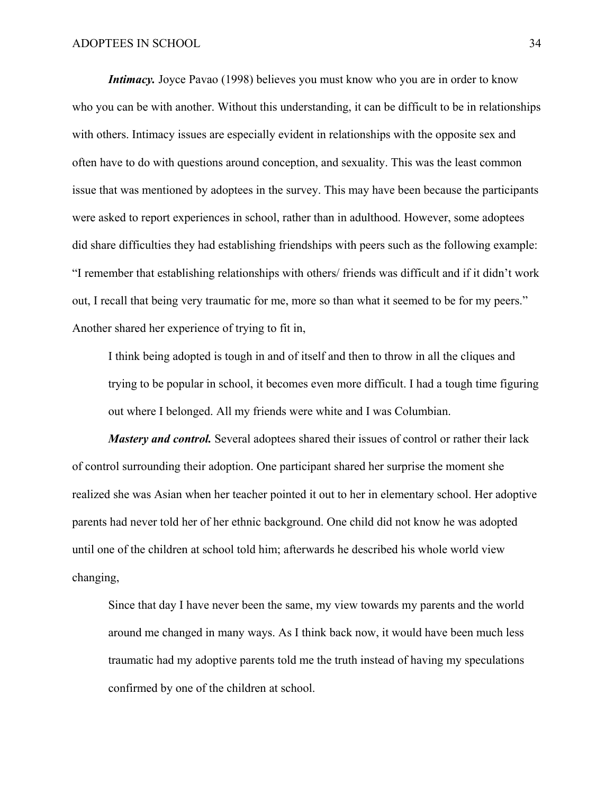*Intimacy*. Joyce Pavao (1998) believes you must know who you are in order to know who you can be with another. Without this understanding, it can be difficult to be in relationships with others. Intimacy issues are especially evident in relationships with the opposite sex and often have to do with questions around conception, and sexuality. This was the least common issue that was mentioned by adoptees in the survey. This may have been because the participants were asked to report experiences in school, rather than in adulthood. However, some adoptees did share difficulties they had establishing friendships with peers such as the following example: "I remember that establishing relationships with others/ friends was difficult and if it didn't work out, I recall that being very traumatic for me, more so than what it seemed to be for my peers." Another shared her experience of trying to fit in,

I think being adopted is tough in and of itself and then to throw in all the cliques and trying to be popular in school, it becomes even more difficult. I had a tough time figuring out where I belonged. All my friends were white and I was Columbian.

*Mastery and control.* Several adoptees shared their issues of control or rather their lack of control surrounding their adoption. One participant shared her surprise the moment she realized she was Asian when her teacher pointed it out to her in elementary school. Her adoptive parents had never told her of her ethnic background. One child did not know he was adopted until one of the children at school told him; afterwards he described his whole world view changing,

Since that day I have never been the same, my view towards my parents and the world around me changed in many ways. As I think back now, it would have been much less traumatic had my adoptive parents told me the truth instead of having my speculations confirmed by one of the children at school.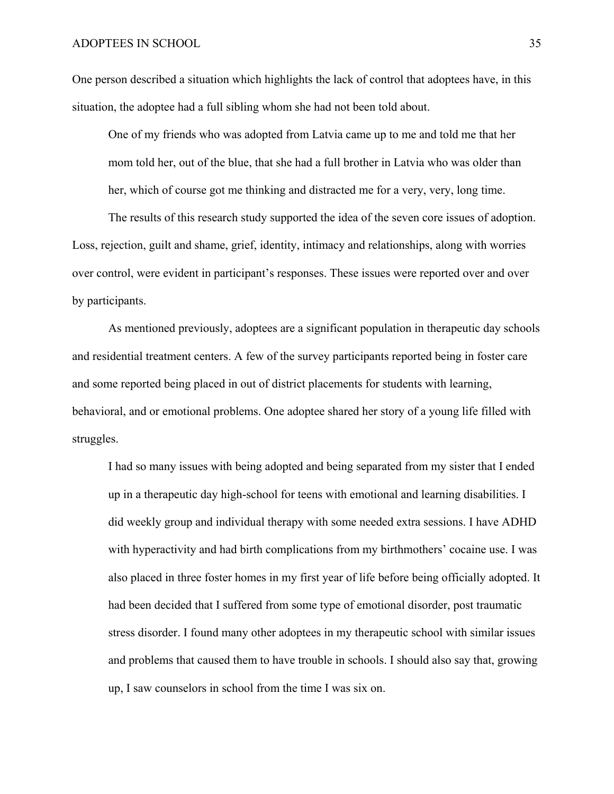One person described a situation which highlights the lack of control that adoptees have, in this situation, the adoptee had a full sibling whom she had not been told about.

One of my friends who was adopted from Latvia came up to me and told me that her mom told her, out of the blue, that she had a full brother in Latvia who was older than her, which of course got me thinking and distracted me for a very, very, long time.

The results of this research study supported the idea of the seven core issues of adoption. Loss, rejection, guilt and shame, grief, identity, intimacy and relationships, along with worries over control, were evident in participant's responses. These issues were reported over and over by participants.

As mentioned previously, adoptees are a significant population in therapeutic day schools and residential treatment centers. A few of the survey participants reported being in foster care and some reported being placed in out of district placements for students with learning, behavioral, and or emotional problems. One adoptee shared her story of a young life filled with struggles.

I had so many issues with being adopted and being separated from my sister that I ended up in a therapeutic day high-school for teens with emotional and learning disabilities. I did weekly group and individual therapy with some needed extra sessions. I have ADHD with hyperactivity and had birth complications from my birthmothers' cocaine use. I was also placed in three foster homes in my first year of life before being officially adopted. It had been decided that I suffered from some type of emotional disorder, post traumatic stress disorder. I found many other adoptees in my therapeutic school with similar issues and problems that caused them to have trouble in schools. I should also say that, growing up, I saw counselors in school from the time I was six on.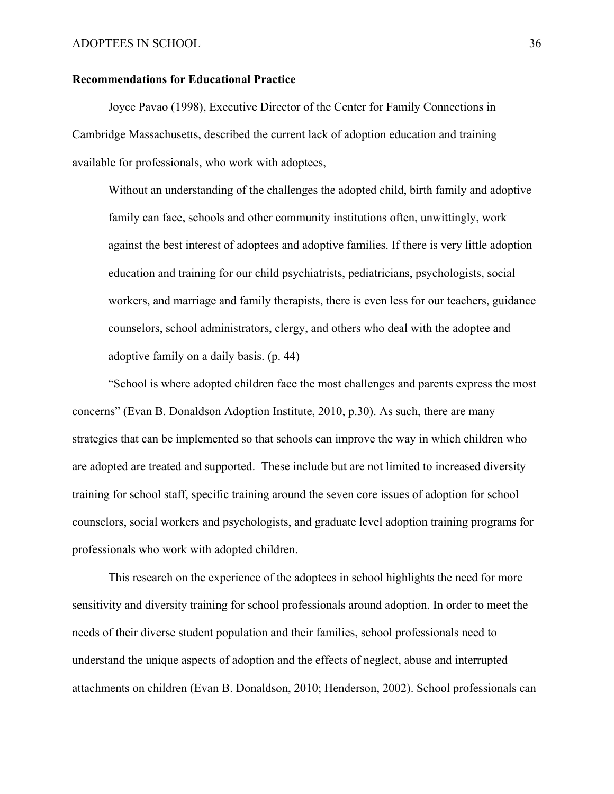### **Recommendations for Educational Practice**

Joyce Pavao (1998), Executive Director of the Center for Family Connections in Cambridge Massachusetts, described the current lack of adoption education and training available for professionals, who work with adoptees,

Without an understanding of the challenges the adopted child, birth family and adoptive family can face, schools and other community institutions often, unwittingly, work against the best interest of adoptees and adoptive families. If there is very little adoption education and training for our child psychiatrists, pediatricians, psychologists, social workers, and marriage and family therapists, there is even less for our teachers, guidance counselors, school administrators, clergy, and others who deal with the adoptee and adoptive family on a daily basis. (p. 44)

 "School is where adopted children face the most challenges and parents express the most concerns" (Evan B. Donaldson Adoption Institute, 2010, p.30). As such, there are many strategies that can be implemented so that schools can improve the way in which children who are adopted are treated and supported. These include but are not limited to increased diversity training for school staff, specific training around the seven core issues of adoption for school counselors, social workers and psychologists, and graduate level adoption training programs for professionals who work with adopted children.

This research on the experience of the adoptees in school highlights the need for more sensitivity and diversity training for school professionals around adoption. In order to meet the needs of their diverse student population and their families, school professionals need to understand the unique aspects of adoption and the effects of neglect, abuse and interrupted attachments on children (Evan B. Donaldson, 2010; Henderson, 2002). School professionals can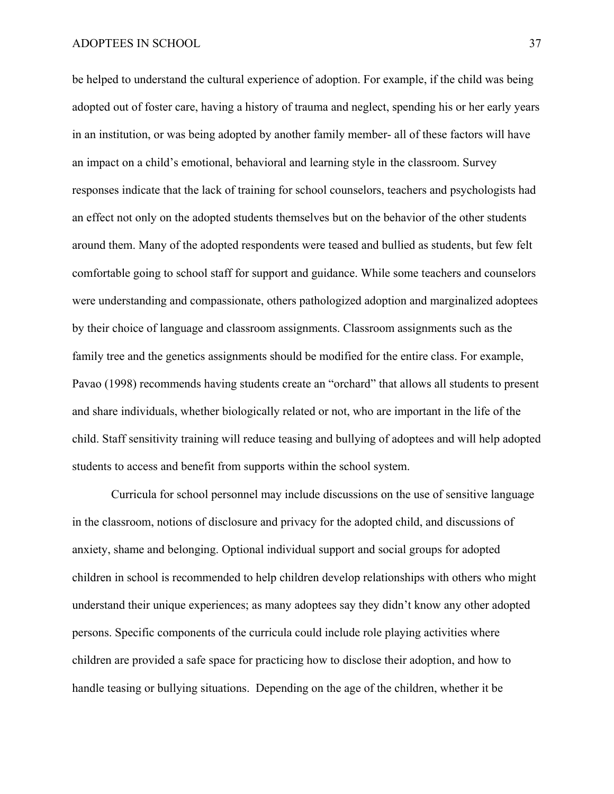be helped to understand the cultural experience of adoption. For example, if the child was being adopted out of foster care, having a history of trauma and neglect, spending his or her early years in an institution, or was being adopted by another family member- all of these factors will have an impact on a child's emotional, behavioral and learning style in the classroom. Survey responses indicate that the lack of training for school counselors, teachers and psychologists had an effect not only on the adopted students themselves but on the behavior of the other students around them. Many of the adopted respondents were teased and bullied as students, but few felt comfortable going to school staff for support and guidance. While some teachers and counselors were understanding and compassionate, others pathologized adoption and marginalized adoptees by their choice of language and classroom assignments. Classroom assignments such as the family tree and the genetics assignments should be modified for the entire class. For example, Pavao (1998) recommends having students create an "orchard" that allows all students to present and share individuals, whether biologically related or not, who are important in the life of the child. Staff sensitivity training will reduce teasing and bullying of adoptees and will help adopted students to access and benefit from supports within the school system.

 Curricula for school personnel may include discussions on the use of sensitive language in the classroom, notions of disclosure and privacy for the adopted child, and discussions of anxiety, shame and belonging. Optional individual support and social groups for adopted children in school is recommended to help children develop relationships with others who might understand their unique experiences; as many adoptees say they didn't know any other adopted persons. Specific components of the curricula could include role playing activities where children are provided a safe space for practicing how to disclose their adoption, and how to handle teasing or bullying situations. Depending on the age of the children, whether it be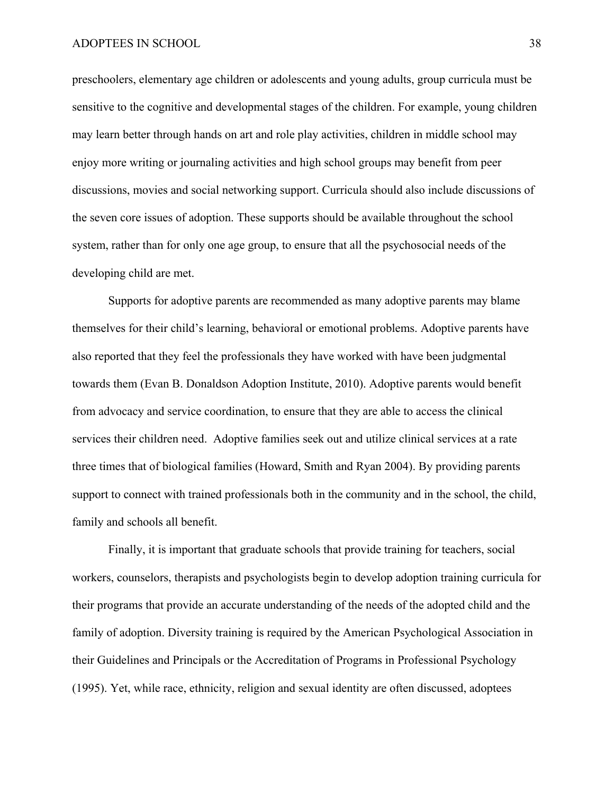preschoolers, elementary age children or adolescents and young adults, group curricula must be sensitive to the cognitive and developmental stages of the children. For example, young children may learn better through hands on art and role play activities, children in middle school may enjoy more writing or journaling activities and high school groups may benefit from peer discussions, movies and social networking support. Curricula should also include discussions of the seven core issues of adoption. These supports should be available throughout the school system, rather than for only one age group, to ensure that all the psychosocial needs of the developing child are met.

Supports for adoptive parents are recommended as many adoptive parents may blame themselves for their child's learning, behavioral or emotional problems. Adoptive parents have also reported that they feel the professionals they have worked with have been judgmental towards them (Evan B. Donaldson Adoption Institute, 2010). Adoptive parents would benefit from advocacy and service coordination, to ensure that they are able to access the clinical services their children need. Adoptive families seek out and utilize clinical services at a rate three times that of biological families (Howard, Smith and Ryan 2004). By providing parents support to connect with trained professionals both in the community and in the school, the child, family and schools all benefit.

 Finally, it is important that graduate schools that provide training for teachers, social workers, counselors, therapists and psychologists begin to develop adoption training curricula for their programs that provide an accurate understanding of the needs of the adopted child and the family of adoption. Diversity training is required by the American Psychological Association in their Guidelines and Principals or the Accreditation of Programs in Professional Psychology (1995). Yet, while race, ethnicity, religion and sexual identity are often discussed, adoptees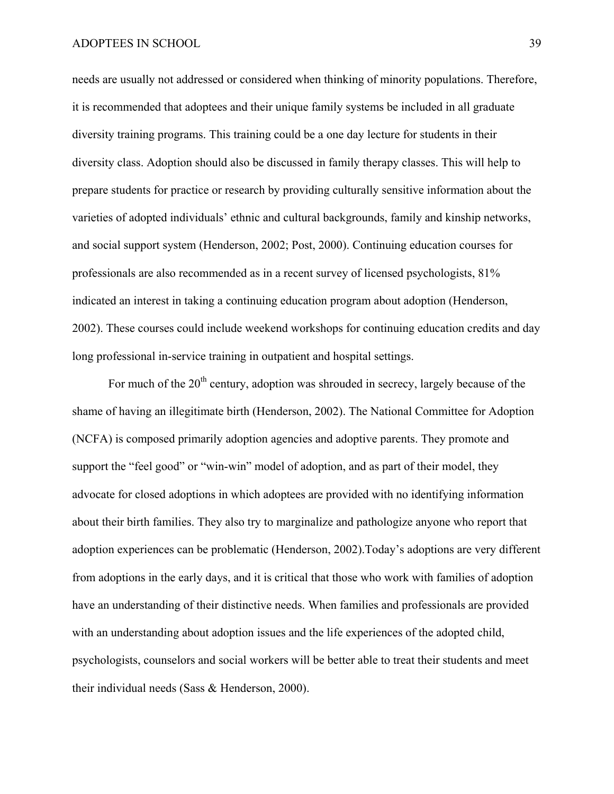needs are usually not addressed or considered when thinking of minority populations. Therefore, it is recommended that adoptees and their unique family systems be included in all graduate diversity training programs. This training could be a one day lecture for students in their diversity class. Adoption should also be discussed in family therapy classes. This will help to prepare students for practice or research by providing culturally sensitive information about the varieties of adopted individuals' ethnic and cultural backgrounds, family and kinship networks, and social support system (Henderson, 2002; Post, 2000). Continuing education courses for professionals are also recommended as in a recent survey of licensed psychologists, 81% indicated an interest in taking a continuing education program about adoption (Henderson, 2002). These courses could include weekend workshops for continuing education credits and day long professional in-service training in outpatient and hospital settings.

For much of the  $20<sup>th</sup>$  century, adoption was shrouded in secrecy, largely because of the shame of having an illegitimate birth (Henderson, 2002). The National Committee for Adoption (NCFA) is composed primarily adoption agencies and adoptive parents. They promote and support the "feel good" or "win-win" model of adoption, and as part of their model, they advocate for closed adoptions in which adoptees are provided with no identifying information about their birth families. They also try to marginalize and pathologize anyone who report that adoption experiences can be problematic (Henderson, 2002).Today's adoptions are very different from adoptions in the early days, and it is critical that those who work with families of adoption have an understanding of their distinctive needs. When families and professionals are provided with an understanding about adoption issues and the life experiences of the adopted child, psychologists, counselors and social workers will be better able to treat their students and meet their individual needs (Sass & Henderson, 2000).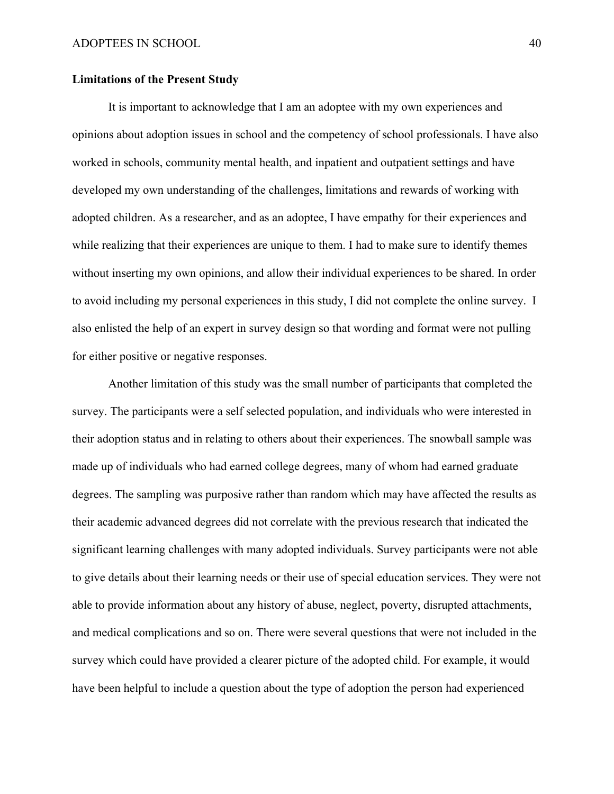### **Limitations of the Present Study**

It is important to acknowledge that I am an adoptee with my own experiences and opinions about adoption issues in school and the competency of school professionals. I have also worked in schools, community mental health, and inpatient and outpatient settings and have developed my own understanding of the challenges, limitations and rewards of working with adopted children. As a researcher, and as an adoptee, I have empathy for their experiences and while realizing that their experiences are unique to them. I had to make sure to identify themes without inserting my own opinions, and allow their individual experiences to be shared. In order to avoid including my personal experiences in this study, I did not complete the online survey. I also enlisted the help of an expert in survey design so that wording and format were not pulling for either positive or negative responses.

Another limitation of this study was the small number of participants that completed the survey. The participants were a self selected population, and individuals who were interested in their adoption status and in relating to others about their experiences. The snowball sample was made up of individuals who had earned college degrees, many of whom had earned graduate degrees. The sampling was purposive rather than random which may have affected the results as their academic advanced degrees did not correlate with the previous research that indicated the significant learning challenges with many adopted individuals. Survey participants were not able to give details about their learning needs or their use of special education services. They were not able to provide information about any history of abuse, neglect, poverty, disrupted attachments, and medical complications and so on. There were several questions that were not included in the survey which could have provided a clearer picture of the adopted child. For example, it would have been helpful to include a question about the type of adoption the person had experienced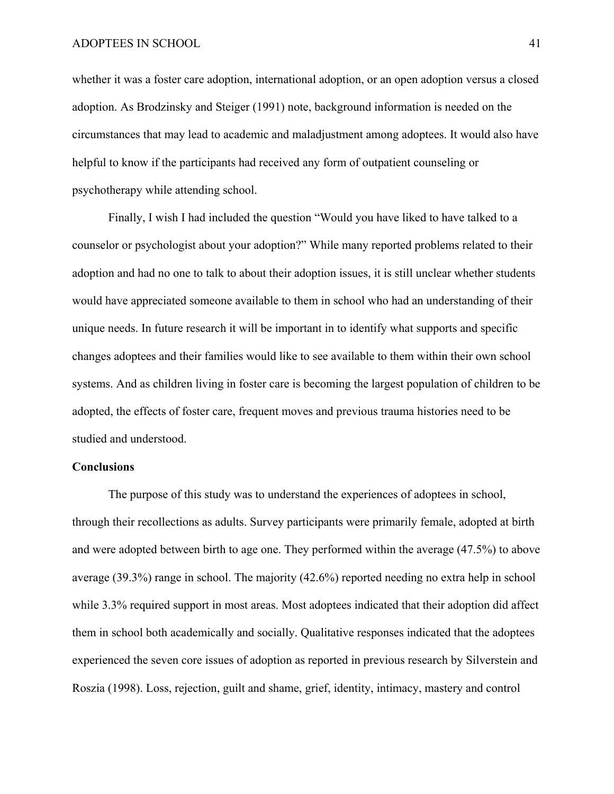whether it was a foster care adoption, international adoption, or an open adoption versus a closed adoption. As Brodzinsky and Steiger (1991) note, background information is needed on the circumstances that may lead to academic and maladjustment among adoptees. It would also have helpful to know if the participants had received any form of outpatient counseling or psychotherapy while attending school.

Finally, I wish I had included the question "Would you have liked to have talked to a counselor or psychologist about your adoption?" While many reported problems related to their adoption and had no one to talk to about their adoption issues, it is still unclear whether students would have appreciated someone available to them in school who had an understanding of their unique needs. In future research it will be important in to identify what supports and specific changes adoptees and their families would like to see available to them within their own school systems. And as children living in foster care is becoming the largest population of children to be adopted, the effects of foster care, frequent moves and previous trauma histories need to be studied and understood.

### **Conclusions**

The purpose of this study was to understand the experiences of adoptees in school, through their recollections as adults. Survey participants were primarily female, adopted at birth and were adopted between birth to age one. They performed within the average (47.5%) to above average (39.3%) range in school. The majority (42.6%) reported needing no extra help in school while 3.3% required support in most areas. Most adoptees indicated that their adoption did affect them in school both academically and socially. Qualitative responses indicated that the adoptees experienced the seven core issues of adoption as reported in previous research by Silverstein and Roszia (1998). Loss, rejection, guilt and shame, grief, identity, intimacy, mastery and control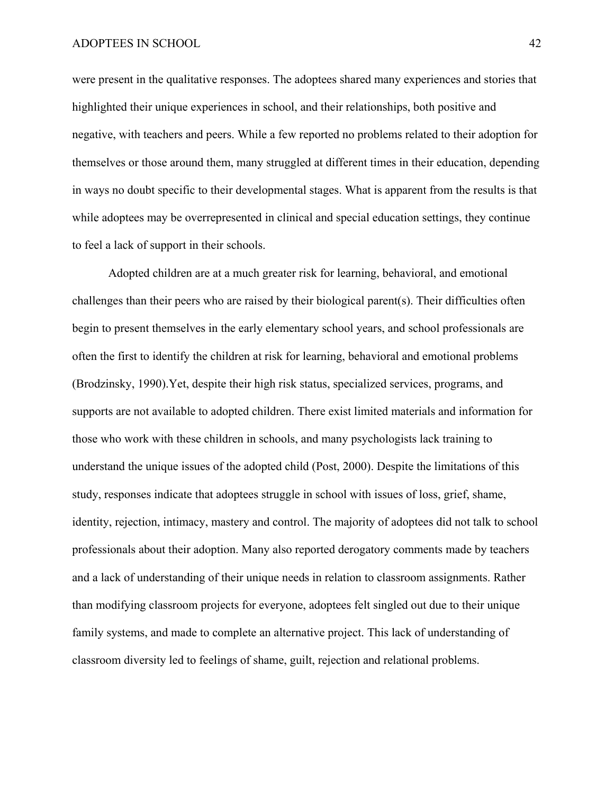were present in the qualitative responses. The adoptees shared many experiences and stories that highlighted their unique experiences in school, and their relationships, both positive and negative, with teachers and peers. While a few reported no problems related to their adoption for themselves or those around them, many struggled at different times in their education, depending in ways no doubt specific to their developmental stages. What is apparent from the results is that while adoptees may be overrepresented in clinical and special education settings, they continue to feel a lack of support in their schools.

Adopted children are at a much greater risk for learning, behavioral, and emotional challenges than their peers who are raised by their biological parent(s). Their difficulties often begin to present themselves in the early elementary school years, and school professionals are often the first to identify the children at risk for learning, behavioral and emotional problems (Brodzinsky, 1990).Yet, despite their high risk status, specialized services, programs, and supports are not available to adopted children. There exist limited materials and information for those who work with these children in schools, and many psychologists lack training to understand the unique issues of the adopted child (Post, 2000). Despite the limitations of this study, responses indicate that adoptees struggle in school with issues of loss, grief, shame, identity, rejection, intimacy, mastery and control. The majority of adoptees did not talk to school professionals about their adoption. Many also reported derogatory comments made by teachers and a lack of understanding of their unique needs in relation to classroom assignments. Rather than modifying classroom projects for everyone, adoptees felt singled out due to their unique family systems, and made to complete an alternative project. This lack of understanding of classroom diversity led to feelings of shame, guilt, rejection and relational problems.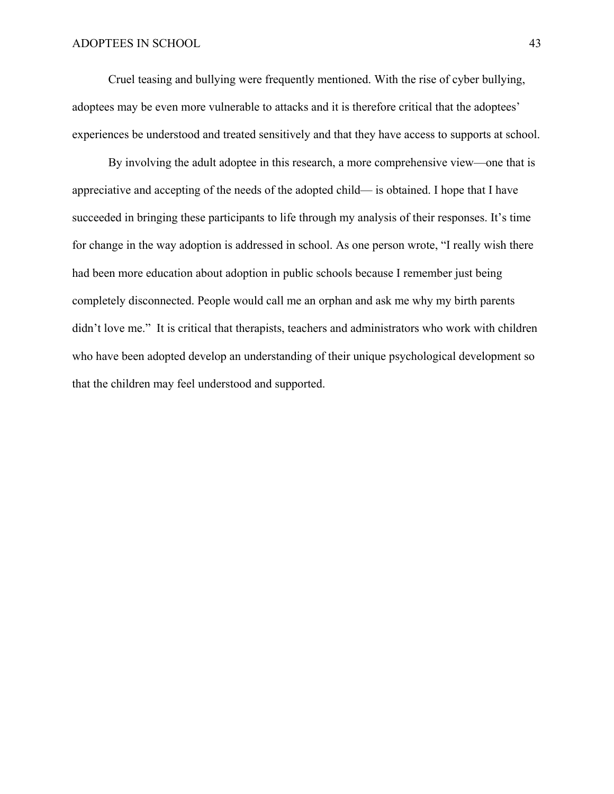Cruel teasing and bullying were frequently mentioned. With the rise of cyber bullying, adoptees may be even more vulnerable to attacks and it is therefore critical that the adoptees' experiences be understood and treated sensitively and that they have access to supports at school.

By involving the adult adoptee in this research, a more comprehensive view—one that is appreciative and accepting of the needs of the adopted child— is obtained. I hope that I have succeeded in bringing these participants to life through my analysis of their responses. It's time for change in the way adoption is addressed in school. As one person wrote, "I really wish there had been more education about adoption in public schools because I remember just being completely disconnected. People would call me an orphan and ask me why my birth parents didn't love me." It is critical that therapists, teachers and administrators who work with children who have been adopted develop an understanding of their unique psychological development so that the children may feel understood and supported.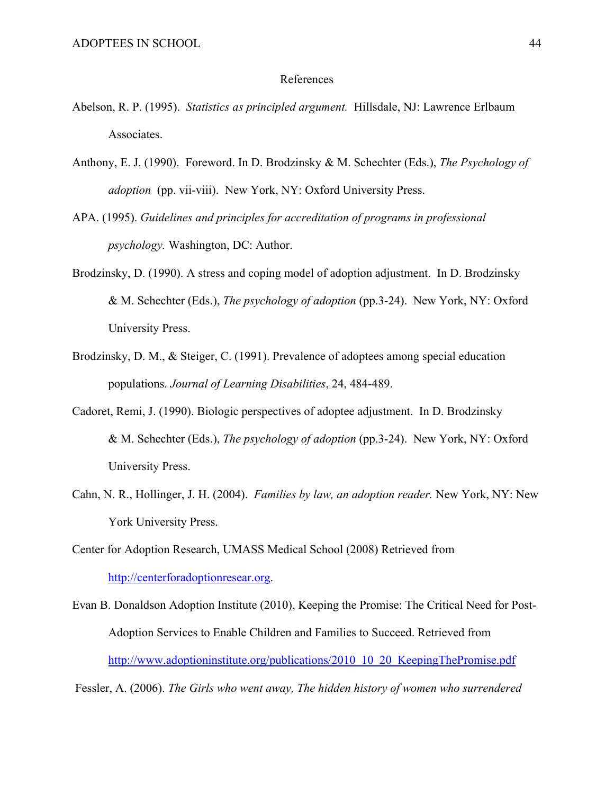### References

- Abelson, R. P. (1995). *Statistics as principled argument.* Hillsdale, NJ: Lawrence Erlbaum Associates.
- Anthony, E. J. (1990). Foreword. In D. Brodzinsky & M. Schechter (Eds.), *The Psychology of adoption* (pp. vii-viii). New York, NY: Oxford University Press.
- APA. (1995). *Guidelines and principles for accreditation of programs in professional psychology.* Washington, DC: Author.
- Brodzinsky, D. (1990). A stress and coping model of adoption adjustment. In D. Brodzinsky & M. Schechter (Eds.), *The psychology of adoption* (pp.3-24). New York, NY: Oxford University Press.
- Brodzinsky, D. M., & Steiger, C. (1991). Prevalence of adoptees among special education populations. *Journal of Learning Disabilities*, 24, 484-489.
- Cadoret, Remi, J. (1990). Biologic perspectives of adoptee adjustment. In D. Brodzinsky & M. Schechter (Eds.), *The psychology of adoption* (pp.3-24). New York, NY: Oxford University Press.
- Cahn, N. R., Hollinger, J. H. (2004). *Families by law, an adoption reader.* New York, NY: New York University Press.

Center for Adoption Research, UMASS Medical School (2008) Retrieved from http://centerforadoptionresear.org.

Evan B. Donaldson Adoption Institute (2010), Keeping the Promise: The Critical Need for Post-Adoption Services to Enable Children and Families to Succeed. Retrieved from http://www.adoptioninstitute.org/publications/2010\_10\_20\_KeepingThePromise.pdf

Fessler, A. (2006). *The Girls who went away, The hidden history of women who surrendered*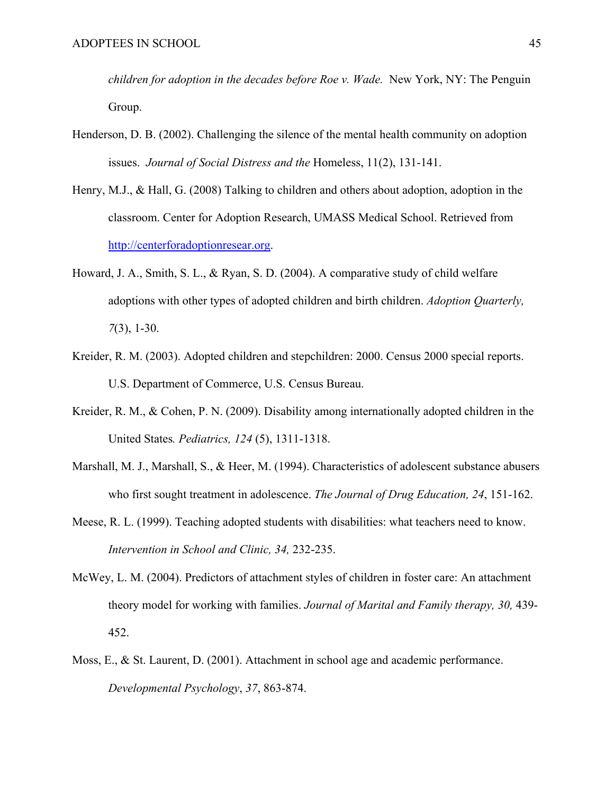*children for adoption in the decades before Roe v. Wade.* New York, NY: The Penguin Group.

- Henderson, D. B. (2002). Challenging the silence of the mental health community on adoption issues. *Journal of Social Distress and the* Homeless, 11(2), 131-141.
- Henry, M.J., & Hall, G. (2008) Talking to children and others about adoption, adoption in the classroom. Center for Adoption Research, UMASS Medical School. Retrieved from http://centerforadoptionresear.org.
- Howard, J. A., Smith, S. L., & Ryan, S. D. (2004). A comparative study of child welfare adoptions with other types of adopted children and birth children. *Adoption Quarterly, 7*(3), 1-30.
- Kreider, R. M. (2003). Adopted children and stepchildren: 2000. Census 2000 special reports. U.S. Department of Commerce, U.S. Census Bureau.
- Kreider, R. M., & Cohen, P. N. (2009). Disability among internationally adopted children in the United States*. Pediatrics, 124* (5), 1311-1318.
- Marshall, M. J., Marshall, S., & Heer, M. (1994). Characteristics of adolescent substance abusers who first sought treatment in adolescence. *The Journal of Drug Education, 24*, 151-162.
- Meese, R. L. (1999). Teaching adopted students with disabilities: what teachers need to know. *Intervention in School and Clinic, 34,* 232-235.
- McWey, L. M. (2004). Predictors of attachment styles of children in foster care: An attachment theory model for working with families. *Journal of Marital and Family therapy, 30,* 439- 452.
- Moss, E., & St. Laurent, D. (2001). Attachment in school age and academic performance. *Developmental Psychology*, *37*, 863-874.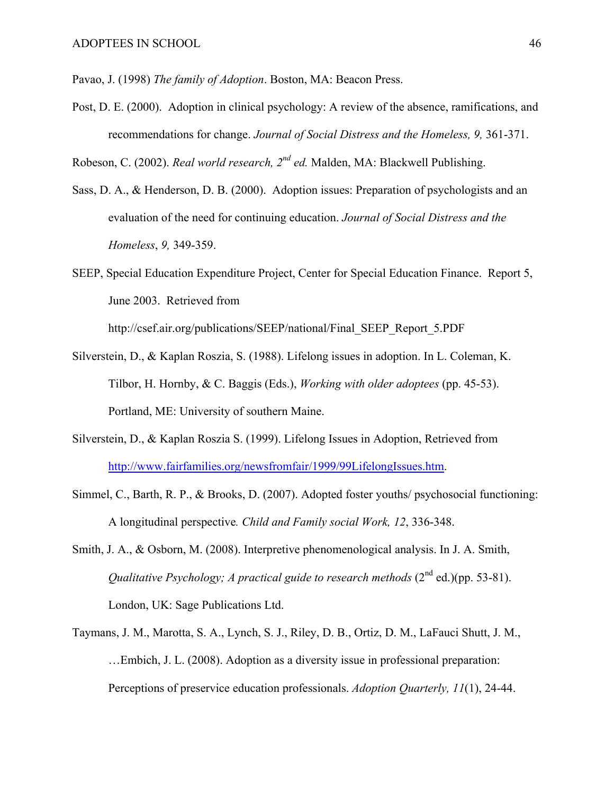Pavao, J. (1998) *The family of Adoption*. Boston, MA: Beacon Press.

Post, D. E. (2000). Adoption in clinical psychology: A review of the absence, ramifications, and recommendations for change. *Journal of Social Distress and the Homeless, 9,* 361-371.

Robeson, C. (2002). *Real world research, 2nd ed.* Malden, MA: Blackwell Publishing.

- Sass, D. A., & Henderson, D. B. (2000). Adoption issues: Preparation of psychologists and an evaluation of the need for continuing education. *Journal of Social Distress and the Homeless*, *9,* 349-359.
- SEEP, Special Education Expenditure Project, Center for Special Education Finance. Report 5, June 2003. Retrieved from

http://csef.air.org/publications/SEEP/national/Final\_SEEP\_Report\_5.PDF

- Silverstein, D., & Kaplan Roszia, S. (1988). Lifelong issues in adoption. In L. Coleman, K. Tilbor, H. Hornby, & C. Baggis (Eds.), *Working with older adoptees* (pp. 45-53). Portland, ME: University of southern Maine.
- Silverstein, D., & Kaplan Roszia S. (1999). Lifelong Issues in Adoption, Retrieved from http://www.fairfamilies.org/newsfromfair/1999/99LifelongIssues.htm.
- Simmel, C., Barth, R. P., & Brooks, D. (2007). Adopted foster youths/ psychosocial functioning: A longitudinal perspective*. Child and Family social Work, 12*, 336-348.
- Smith, J. A., & Osborn, M. (2008). Interpretive phenomenological analysis. In J. A. Smith, *Qualitative Psychology; A practical guide to research methods*  $(2^{nd}$  ed.)(pp. 53-81). London, UK: Sage Publications Ltd.
- Taymans, J. M., Marotta, S. A., Lynch, S. J., Riley, D. B., Ortiz, D. M., LaFauci Shutt, J. M., …Embich, J. L. (2008). Adoption as a diversity issue in professional preparation: Perceptions of preservice education professionals. *Adoption Quarterly, 11*(1), 24-44.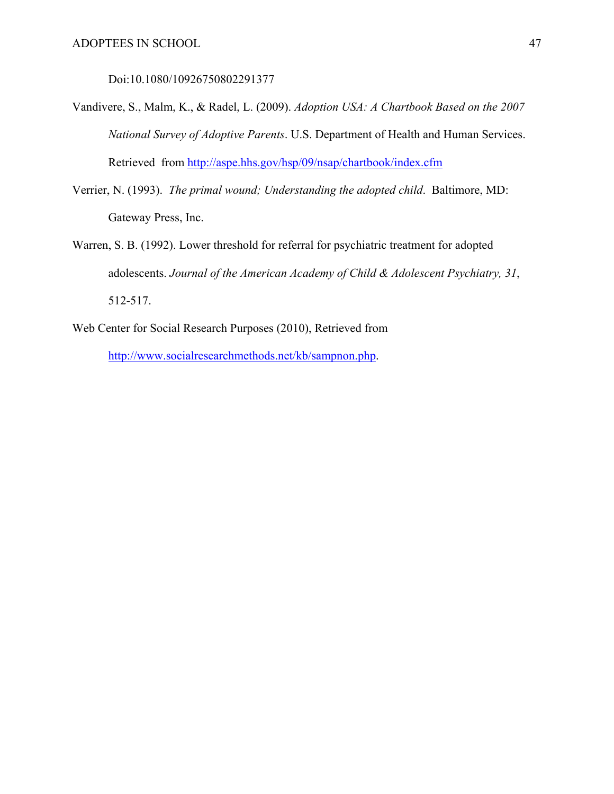Doi:10.1080/10926750802291377

- Vandivere, S., Malm, K., & Radel, L. (2009). *Adoption USA: A Chartbook Based on the 2007 National Survey of Adoptive Parents*. U.S. Department of Health and Human Services. Retrieved from http://aspe.hhs.gov/hsp/09/nsap/chartbook/index.cfm
- Verrier, N. (1993). *The primal wound; Understanding the adopted child*. Baltimore, MD: Gateway Press, Inc.
- Warren, S. B. (1992). Lower threshold for referral for psychiatric treatment for adopted adolescents. *Journal of the American Academy of Child & Adolescent Psychiatry, 31*, 512-517.
- Web Center for Social Research Purposes (2010), Retrieved from

http://www.socialresearchmethods.net/kb/sampnon.php.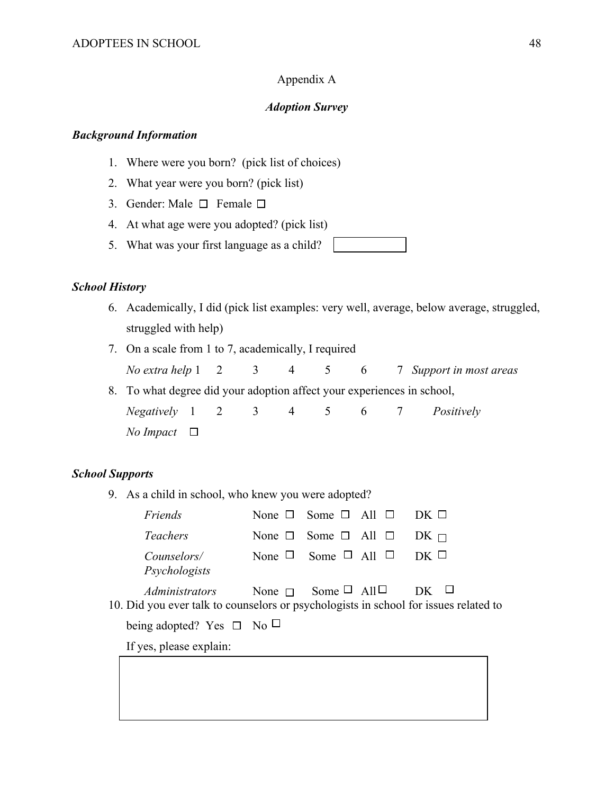# Appendix A

## *Adoption Survey*

### *Background Information*

- 1. Where were you born? (pick list of choices)
- 2. What year were you born? (pick list)
- 3. Gender: Male  $\Box$  Female  $\Box$
- 4. At what age were you adopted? (pick list)
- 5. What was your first language as a child?

## *School History*

- 6. Academically, I did (pick list examples: very well, average, below average, struggled, struggled with help)
- 7. On a scale from 1 to 7, academically, I required
	- *No extra help* 1 2 3 4 5 6 7 *Support in most areas*
- 8. To what degree did your adoption affect your experiences in school,

 *Negatively* 1 2 3 4 5 6 7 *Positively No Impact*  $\Box$ 

### *School Supports*

9. As a child in school, who knew you were adopted?

| Friends                                                                                                | None $\Box$ Some $\Box$ All $\Box$ DK $\Box$ |             |  |
|--------------------------------------------------------------------------------------------------------|----------------------------------------------|-------------|--|
| <i>Teachers</i>                                                                                        | None $\Box$ Some $\Box$ All $\Box$           | $DK \sqcap$ |  |
| <i>Counselors</i> /<br>Psychologists                                                                   | None $\Box$ Some $\Box$ All $\Box$           | DK U        |  |
| Administrators<br>10. Did you ever talk to counselors or psychologists in school for issues related to | None $\Box$ Some $\Box$ All $\Box$           | $DK$ $\Box$ |  |
| being adopted? Yes $\Box$ No $\Box$                                                                    |                                              |             |  |
| If yes, please explain:                                                                                |                                              |             |  |
|                                                                                                        |                                              |             |  |
|                                                                                                        |                                              |             |  |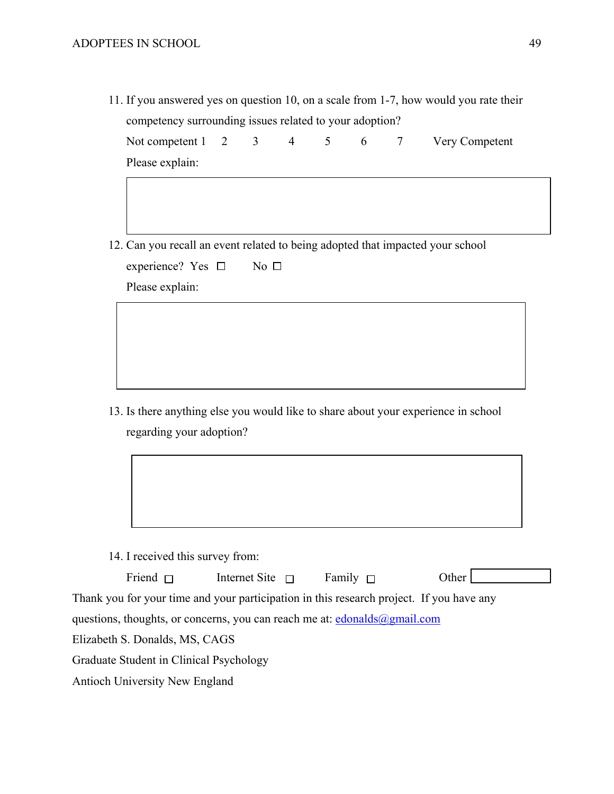11. If you answered yes on question 10, on a scale from 1-7, how would you rate their competency surrounding issues related to your adoption?

|                 |  |  |  | Not competent $1 \quad 2 \quad 3 \quad 4 \quad 5 \quad 6 \quad 7 \quad$ Very Competent |
|-----------------|--|--|--|----------------------------------------------------------------------------------------|
| Please explain: |  |  |  |                                                                                        |

12. Can you recall an event related to being adopted that impacted your school

| experience? Yes $\Box$ |  | No $\Box$ |  |
|------------------------|--|-----------|--|
|                        |  |           |  |

Please explain:

13. Is there anything else you would like to share about your experience in school regarding your adoption?

14. I received this survey from:

| Friend $\Box$                                                                            | Internet Site $\Box$ | Family $\Box$ | Other |
|------------------------------------------------------------------------------------------|----------------------|---------------|-------|
| Thank you for your time and your participation in this research project. If you have any |                      |               |       |

questions, thoughts, or concerns, you can reach me at: edonalds@gmail.com

Elizabeth S. Donalds, MS, CAGS

Graduate Student in Clinical Psychology

Antioch University New England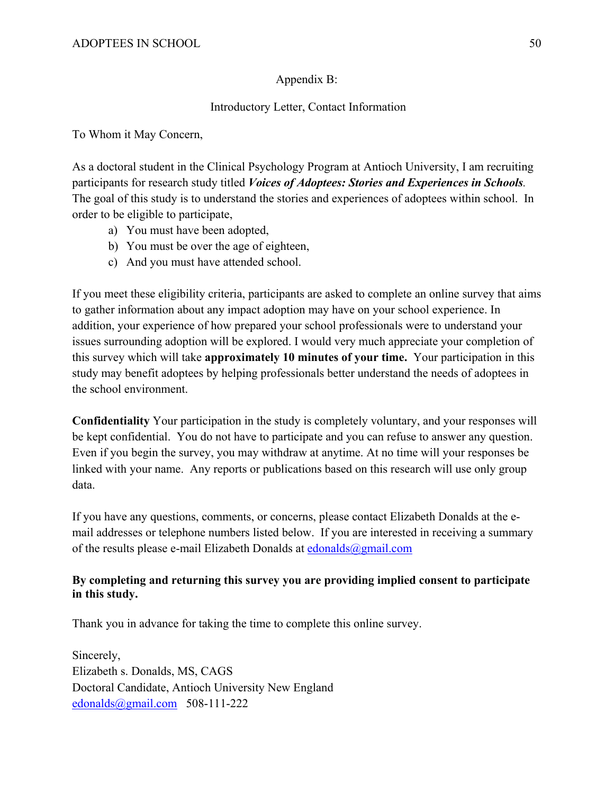# Appendix B:

# Introductory Letter, Contact Information

To Whom it May Concern,

As a doctoral student in the Clinical Psychology Program at Antioch University, I am recruiting participants for research study titled *Voices of Adoptees: Stories and Experiences in Schools.*  The goal of this study is to understand the stories and experiences of adoptees within school. In order to be eligible to participate,

- a) You must have been adopted,
- b) You must be over the age of eighteen,
- c) And you must have attended school.

If you meet these eligibility criteria, participants are asked to complete an online survey that aims to gather information about any impact adoption may have on your school experience. In addition, your experience of how prepared your school professionals were to understand your issues surrounding adoption will be explored. I would very much appreciate your completion of this survey which will take **approximately 10 minutes of your time.** Your participation in this study may benefit adoptees by helping professionals better understand the needs of adoptees in the school environment.

**Confidentiality** Your participation in the study is completely voluntary, and your responses will be kept confidential. You do not have to participate and you can refuse to answer any question. Even if you begin the survey, you may withdraw at anytime. At no time will your responses be linked with your name. Any reports or publications based on this research will use only group data.

If you have any questions, comments, or concerns, please contact Elizabeth Donalds at the email addresses or telephone numbers listed below. If you are interested in receiving a summary of the results please e-mail Elizabeth Donalds at  $edonalds@gmail.com$ 

# **By completing and returning this survey you are providing implied consent to participate in this study.**

Thank you in advance for taking the time to complete this online survey.

Sincerely, Elizabeth s. Donalds, MS, CAGS Doctoral Candidate, Antioch University New England edonalds@gmail.com 508-111-222